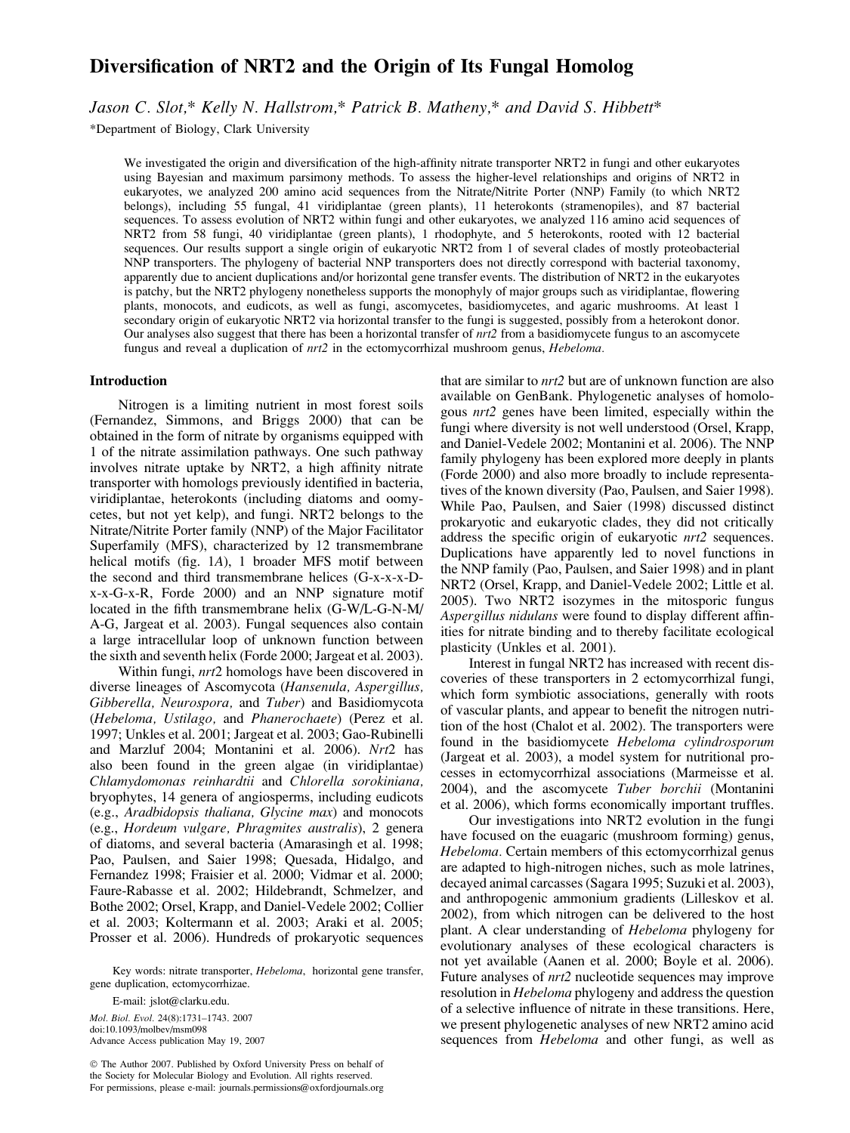# Diversification of NRT2 and the Origin of Its Fungal Homolog

Jason C. Slot,\* Kelly N. Hallstrom,\* Patrick B. Matheny,\* and David S. Hibbett\*

\*Department of Biology, Clark University

We investigated the origin and diversification of the high-affinity nitrate transporter NRT2 in fungi and other eukaryotes using Bayesian and maximum parsimony methods. To assess the higher-level relationships and origins of NRT2 in eukaryotes, we analyzed 200 amino acid sequences from the Nitrate/Nitrite Porter (NNP) Family (to which NRT2 belongs), including 55 fungal, 41 viridiplantae (green plants), 11 heterokonts (stramenopiles), and 87 bacterial sequences. To assess evolution of NRT2 within fungi and other eukaryotes, we analyzed 116 amino acid sequences of NRT2 from 58 fungi, 40 viridiplantae (green plants), 1 rhodophyte, and 5 heterokonts, rooted with 12 bacterial sequences. Our results support a single origin of eukaryotic NRT2 from 1 of several clades of mostly proteobacterial NNP transporters. The phylogeny of bacterial NNP transporters does not directly correspond with bacterial taxonomy, apparently due to ancient duplications and/or horizontal gene transfer events. The distribution of NRT2 in the eukaryotes is patchy, but the NRT2 phylogeny nonetheless supports the monophyly of major groups such as viridiplantae, flowering plants, monocots, and eudicots, as well as fungi, ascomycetes, basidiomycetes, and agaric mushrooms. At least 1 secondary origin of eukaryotic NRT2 via horizontal transfer to the fungi is suggested, possibly from a heterokont donor. Our analyses also suggest that there has been a horizontal transfer of nrt2 from a basidiomycete fungus to an ascomycete fungus and reveal a duplication of  $nrt2$  in the ectomycorrhizal mushroom genus, *Hebeloma*.

#### Introduction

Nitrogen is a limiting nutrient in most forest soils (Fernandez, Simmons, and Briggs 2000) that can be obtained in the form of nitrate by organisms equipped with 1 of the nitrate assimilation pathways. One such pathway involves nitrate uptake by NRT2, a high affinity nitrate transporter with homologs previously identified in bacteria, viridiplantae, heterokonts (including diatoms and oomycetes, but not yet kelp), and fungi. NRT2 belongs to the Nitrate/Nitrite Porter family (NNP) of the Major Facilitator Superfamily (MFS), characterized by 12 transmembrane helical motifs (fig. 1A), 1 broader MFS motif between the second and third transmembrane helices (G-x-x-x-Dx-x-G-x-R, Forde 2000) and an NNP signature motif located in the fifth transmembrane helix (G-W/L-G-N-M/ A-G, Jargeat et al. 2003). Fungal sequences also contain a large intracellular loop of unknown function between the sixth and seventh helix (Forde 2000; Jargeat et al. 2003).

Within fungi, *nrt*2 homologs have been discovered in diverse lineages of Ascomycota (Hansenula, Aspergillus, Gibberella, Neurospora, and Tuber) and Basidiomycota (Hebeloma, Ustilago, and Phanerochaete) (Perez et al. 1997; Unkles et al. 2001; Jargeat et al. 2003; Gao-Rubinelli and Marzluf 2004; Montanini et al. 2006). Nrt2 has also been found in the green algae (in viridiplantae) Chlamydomonas reinhardtii and Chlorella sorokiniana, bryophytes, 14 genera of angiosperms, including eudicots (e.g., Aradbidopsis thaliana, Glycine max) and monocots (e.g., Hordeum vulgare, Phragmites australis), 2 genera of diatoms, and several bacteria (Amarasingh et al. 1998; Pao, Paulsen, and Saier 1998; Quesada, Hidalgo, and Fernandez 1998; Fraisier et al. 2000; Vidmar et al. 2000; Faure-Rabasse et al. 2002; Hildebrandt, Schmelzer, and Bothe 2002; Orsel, Krapp, and Daniel-Vedele 2002; Collier et al. 2003; Koltermann et al. 2003; Araki et al. 2005; Prosser et al. 2006). Hundreds of prokaryotic sequences

Key words: nitrate transporter, Hebeloma, horizontal gene transfer, gene duplication, ectomycorrhizae.

E-mail: jslot@clarku.edu. Mol. Biol. Evol. 24(8):1731–1743. 2007 doi:10.1093/molbev/msm098

Advance Access publication May 19, 2007

 The Author 2007. Published by Oxford University Press on behalf of the Society for Molecular Biology and Evolution. All rights reserved. For permissions, please e-mail: journals.permissions@oxfordjournals.org

that are similar to nrt2 but are of unknown function are also available on GenBank. Phylogenetic analyses of homologous nrt2 genes have been limited, especially within the fungi where diversity is not well understood (Orsel, Krapp, and Daniel-Vedele 2002; Montanini et al. 2006). The NNP family phylogeny has been explored more deeply in plants (Forde 2000) and also more broadly to include representatives of the known diversity (Pao, Paulsen, and Saier 1998). While Pao, Paulsen, and Saier (1998) discussed distinct prokaryotic and eukaryotic clades, they did not critically address the specific origin of eukaryotic nrt2 sequences. Duplications have apparently led to novel functions in the NNP family (Pao, Paulsen, and Saier 1998) and in plant NRT2 (Orsel, Krapp, and Daniel-Vedele 2002; Little et al. 2005). Two NRT2 isozymes in the mitosporic fungus Aspergillus nidulans were found to display different affinities for nitrate binding and to thereby facilitate ecological plasticity (Unkles et al. 2001).

Interest in fungal NRT2 has increased with recent discoveries of these transporters in 2 ectomycorrhizal fungi, which form symbiotic associations, generally with roots of vascular plants, and appear to benefit the nitrogen nutrition of the host (Chalot et al. 2002). The transporters were found in the basidiomycete Hebeloma cylindrosporum (Jargeat et al. 2003), a model system for nutritional processes in ectomycorrhizal associations (Marmeisse et al. 2004), and the ascomycete Tuber borchii (Montanini et al. 2006), which forms economically important truffles.

Our investigations into NRT2 evolution in the fungi have focused on the euagaric (mushroom forming) genus, Hebeloma. Certain members of this ectomycorrhizal genus are adapted to high-nitrogen niches, such as mole latrines, decayed animal carcasses (Sagara 1995; Suzuki et al. 2003), and anthropogenic ammonium gradients (Lilleskov et al. 2002), from which nitrogen can be delivered to the host plant. A clear understanding of Hebeloma phylogeny for evolutionary analyses of these ecological characters is not yet available (Aanen et al. 2000; Boyle et al. 2006). Future analyses of nrt2 nucleotide sequences may improve resolution in Hebeloma phylogeny and address the question of a selective influence of nitrate in these transitions. Here, we present phylogenetic analyses of new NRT2 amino acid sequences from *Hebeloma* and other fungi, as well as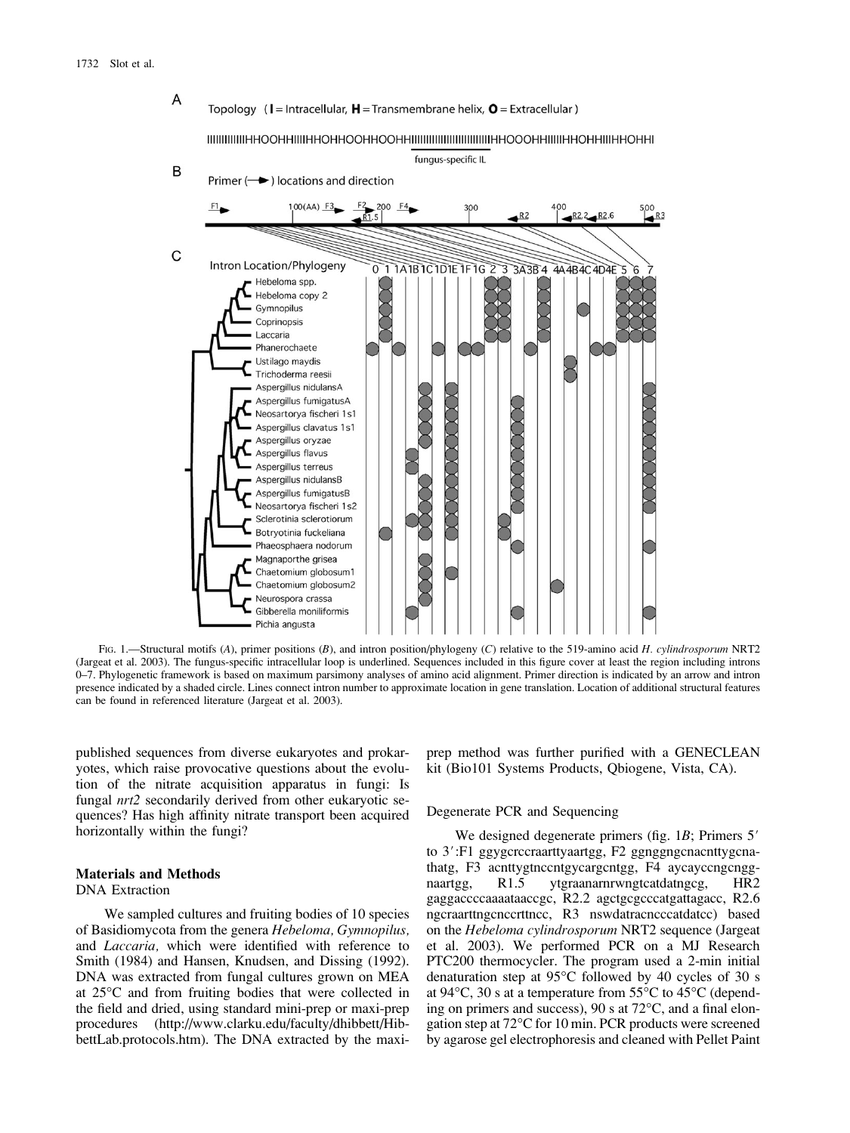



FIG. 1.—Structural motifs (A), primer positions (B), and intron position/phylogeny (C) relative to the 519-amino acid H. cylindrosporum NRT2 (Jargeat et al. 2003). The fungus-specific intracellular loop is underlined. Sequences included in this figure cover at least the region including introns 0–7. Phylogenetic framework is based on maximum parsimony analyses of amino acid alignment. Primer direction is indicated by an arrow and intron presence indicated by a shaded circle. Lines connect intron number to approximate location in gene translation. Location of additional structural features can be found in referenced literature (Jargeat et al. 2003).

published sequences from diverse eukaryotes and prokaryotes, which raise provocative questions about the evolution of the nitrate acquisition apparatus in fungi: Is fungal nrt2 secondarily derived from other eukaryotic sequences? Has high affinity nitrate transport been acquired horizontally within the fungi?

## Materials and Methods

DNA Extraction

We sampled cultures and fruiting bodies of 10 species of Basidiomycota from the genera Hebeloma, Gymnopilus, and Laccaria, which were identified with reference to Smith (1984) and Hansen, Knudsen, and Dissing (1992). DNA was extracted from fungal cultures grown on MEA at 25°C and from fruiting bodies that were collected in the field and dried, using standard mini-prep or maxi-prep procedures [\(http://www.clarku.edu/faculty/dhibbett/Hib](http://www.clarku.edu/faculty/dhibbett/Hib-bettLab.protocols.htm)[bettLab.protocols.htm\).](http://www.clarku.edu/faculty/dhibbett/Hib-bettLab.protocols.htm) The DNA extracted by the maxiprep method was further purified with a GENECLEAN kit (Bio101 Systems Products, Qbiogene, Vista, CA).

## Degenerate PCR and Sequencing

We designed degenerate primers (fig.  $1B$ ; Primers  $5'$ ) to 3':F1 ggygcrccraarttyaartgg, F2 ggnggngcnacnttygcnathatg, F3 acnttygtnccntgycargcntgg, F4 aycayccngcnggnaartgg, R1.5 ytgraanarnrwngtcatdatngcg, HR2 gaggaccccaaaataaccgc, R2.2 agctgcgcccatgattagacc, R2.6 ngcraarttngcnccrttncc, R3 nswdatracncccatdatcc) based on the Hebeloma cylindrosporum NRT2 sequence (Jargeat et al. 2003). We performed PCR on a MJ Research PTC200 thermocycler. The program used a 2-min initial denaturation step at  $95^{\circ}$ C followed by 40 cycles of 30 s at  $94^{\circ}$ C, 30 s at a temperature from  $55^{\circ}$ C to  $45^{\circ}$ C (depending on primers and success),  $90 s$  at  $72°C$ , and a final elongation step at 72°C for 10 min. PCR products were screened by agarose gel electrophoresis and cleaned with Pellet Paint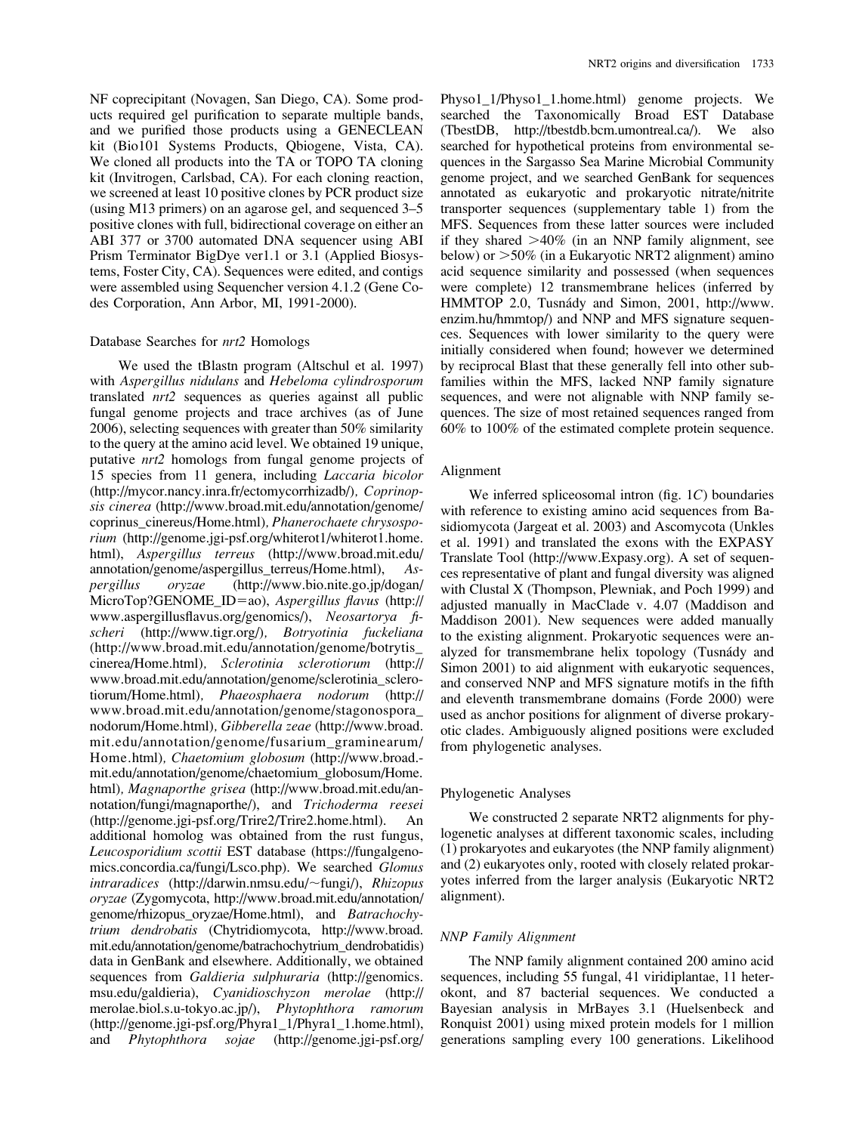NF coprecipitant (Novagen, San Diego, CA). Some products required gel purification to separate multiple bands, and we purified those products using a GENECLEAN kit (Bio101 Systems Products, Qbiogene, Vista, CA). We cloned all products into the TA or TOPO TA cloning kit (Invitrogen, Carlsbad, CA). For each cloning reaction, we screened at least 10 positive clones by PCR product size (using M13 primers) on an agarose gel, and sequenced 3–5 positive clones with full, bidirectional coverage on either an ABI 377 or 3700 automated DNA sequencer using ABI Prism Terminator BigDye ver1.1 or 3.1 (Applied Biosystems, Foster City, CA). Sequences were edited, and contigs were assembled using Sequencher version 4.1.2 (Gene Codes Corporation, Ann Arbor, MI, 1991-2000).

#### Database Searches for nrt2 Homologs

We used the tBlastn program (Altschul et al. 1997) with Aspergillus nidulans and Hebeloma cylindrosporum translated nrt2 sequences as queries against all public fungal genome projects and trace archives (as of June 2006), selecting sequences with greater than 50% similarity to the query at the amino acid level. We obtained 19 unique, putative nrt2 homologs from fungal genome projects of 15 species from 11 genera, including Laccaria bicolor [\(http://mycor.nancy.inra.fr/ectomycorrhizadb/\)](http://mycor.nancy.inra.fr/ectomycorrhizadb/), Coprinopsis cinerea [\(http://www.broad.mit.edu/annotation/genome/](http://www.broad.mit.edu/annotation/genome/coprinus_cinereus/Home.html) [coprinus\\_cinereus/Home.html\)](http://www.broad.mit.edu/annotation/genome/coprinus_cinereus/Home.html), Phanerochaete chrysosporium [\(http://genome.jgi-psf.org/whiterot1/whiterot1.home.](http://genome.jgi-psf.org/whiterot1/whiterot1.home.html) [html\),](http://genome.jgi-psf.org/whiterot1/whiterot1.home.html) Aspergillus terreus [\(http://www.broad.mit.edu/](http://www.broad.mit.edu/annotation/genome/aspergillus_terreus/Home.html) annotation/genome/aspergillus terreus/Home.html),  $As$ pergillus oryzae [\(http://www.bio.nite.go.jp/dogan/](http://www.bio.nite.go.jp/dogan/MicroTop?GENOME_ID=ao) [MicroTop?GENOME\\_ID](http://www.bio.nite.go.jp/dogan/MicroTop?GENOME_ID=ao)=ao), Aspergillus flavus [\(http://](http://www.aspergillusflavus.org/genomics/) [www.aspergillusflavus.org/genomics/\),](http://www.aspergillusflavus.org/genomics/) Neosartorya fischeri [\(http://www.tigr.org/\)](http://www.tigr.org/), Botryotinia fuckeliana [\(http://www.broad.mit.edu/annotation/genome/botrytis\\_](http://www.broad.mit.edu/annotation/genome/botrytis_cinerea/Home.html) [cinerea/Home.html\)](http://www.broad.mit.edu/annotation/genome/botrytis_cinerea/Home.html), Sclerotinia sclerotiorum [\(http://](http://www.broad.mit.edu/annotation/genome/sclerotinia_sclero-tiorum/Home.html) [www.broad.mit.edu/annotation/genome/sclerotinia\\_sclero](http://www.broad.mit.edu/annotation/genome/sclerotinia_sclero-tiorum/Home.html)[tiorum/Home.html\)](http://www.broad.mit.edu/annotation/genome/sclerotinia_sclero-tiorum/Home.html), Phaeosphaera nodorum [\(http://](http://www.broad.mit.edu/annotation/genome/stagonospora_nodorum/Home.html) [www.broad.mit.edu/annotation/genome/stagonospora\\_](http://www.broad.mit.edu/annotation/genome/stagonospora_nodorum/Home.html) [nodorum/Home.html\)](http://www.broad.mit.edu/annotation/genome/stagonospora_nodorum/Home.html), Gibberella zeae [\(http://www.broad.](http://www.broad.mit.edu/annotation/genome/fusarium_graminearum/Home.html) [mit.edu/annotation/genome/fusarium\\_graminearum/](http://www.broad.mit.edu/annotation/genome/fusarium_graminearum/Home.html) [Home.html\)](http://www.broad.mit.edu/annotation/genome/fusarium_graminearum/Home.html), Chaetomium globosum [\(http://www.broad.](http://www.broad.-mit.edu/annotation/genome/chaetomium_globosum/Home.html) [mit.edu/annotation/genome/chaetomium\\_globosum/Home.](http://www.broad.-mit.edu/annotation/genome/chaetomium_globosum/Home.html) [html\)](http://www.broad.-mit.edu/annotation/genome/chaetomium_globosum/Home.html), Magnaporthe grisea [\(http://www.broad.mit.edu/an](http://www.broad.mit.edu/an-notation/fungi/magnaporthe/)[notation/fungi/magnaporthe/\),](http://www.broad.mit.edu/an-notation/fungi/magnaporthe/) and Trichoderma reesei [\(http://genome.jgi-psf.org/Trire2/Trire2.home.html\).](http://genome.jgi-psf.org/Trire2/Trire2.home.html) An additional homolog was obtained from the rust fungus, Leucosporidium scottii EST database [\(https://fungalgeno](https://fungalgeno-mics.concordia.ca/fungi/Lsco.php)[mics.concordia.ca/fungi/Lsco.php\).](https://fungalgeno-mics.concordia.ca/fungi/Lsco.php) We searched Glomus  $intractances$  [\(http://darwin.nmsu.edu/](http://darwin.nmsu.edu/~fungi/) $\sim$ fungi/), Rhizopus oryzae (Zygomycota, [http://www.broad.mit.edu/annotation/](http://www.broad.mit.edu/annotation/genome/rhizopus_oryzae/Home.html) [genome/rhizopus\\_oryzae/Home.html\),](http://www.broad.mit.edu/annotation/genome/rhizopus_oryzae/Home.html) and Batrachochytrium dendrobatis (Chytridiomycota, [http://www.broad.](http://www.broad.mit.edu/annotation/genome/batrachochytrium_dendrobatidis) [mit.edu/annotation/genome/batrachochytrium\\_dendrobatidis\)](http://www.broad.mit.edu/annotation/genome/batrachochytrium_dendrobatidis) data in GenBank and elsewhere. Additionally, we obtained sequences from *Galdieria sulphuraria* [\(http://genomics.](http://genomics.msu.edu/galdieria) [msu.edu/galdieria\),](http://genomics.msu.edu/galdieria) Cyanidioschyzon merolae [\(http://](http://merolae.biol.s.u-tokyo.ac.jp/) [merolae.biol.s.u-tokyo.ac.jp/\),](http://merolae.biol.s.u-tokyo.ac.jp/) Phytophthora ramorum [\(http://genome.jgi-psf.org/Phyra1\\_1/Phyra1\\_1.home.html\),](http://genome.jgi-psf.org/Phyra1_1/Phyra1_1.home.html) and Phytophthora sojae [\(http://genome.jgi-psf.org/](http://genome.jgi-psf.org/Physo1_1/Physo1_1.home.html) [Physo1\\_1/Physo1\\_1.home.html\)](http://genome.jgi-psf.org/Physo1_1/Physo1_1.home.html) genome projects. We searched the Taxonomically Broad EST Database (TbestDB, [http://tbestdb.bcm.umontreal.ca/\).](http://tbestdb.bcm.umontreal.ca/) We also searched for hypothetical proteins from environmental sequences in the Sargasso Sea Marine Microbial Community genome project, and we searched GenBank for sequences annotated as eukaryotic and prokaryotic nitrate/nitrite transporter sequences (supplementary table 1) from the MFS. Sequences from these latter sources were included if they shared  $>40\%$  (in an NNP family alignment, see below) or  $>50\%$  (in a Eukaryotic NRT2 alignment) amino acid sequence similarity and possessed (when sequences were complete) 12 transmembrane helices (inferred by HMMTOP 2.0, Tusnády and Simon, 2001, [http://www.](http://www.enzim.hu/hmmtop/) [enzim.hu/hmmtop/\)](http://www.enzim.hu/hmmtop/) and NNP and MFS signature sequences. Sequences with lower similarity to the query were initially considered when found; however we determined by reciprocal Blast that these generally fell into other subfamilies within the MFS, lacked NNP family signature sequences, and were not alignable with NNP family sequences. The size of most retained sequences ranged from 60% to 100% of the estimated complete protein sequence.

### Alignment

We inferred spliceosomal intron (fig. 1C) boundaries with reference to existing amino acid sequences from Basidiomycota (Jargeat et al. 2003) and Ascomycota (Unkles et al. 1991) and translated the exons with the EXPASY Translate Tool [\(http://www.Expasy.org\).](http://www.Expasy.org) A set of sequences representative of plant and fungal diversity was aligned with Clustal X (Thompson, Plewniak, and Poch 1999) and adjusted manually in MacClade v. 4.07 (Maddison and Maddison 2001). New sequences were added manually to the existing alignment. Prokaryotic sequences were analyzed for transmembrane helix topology (Tusnády and Simon 2001) to aid alignment with eukaryotic sequences, and conserved NNP and MFS signature motifs in the fifth and eleventh transmembrane domains (Forde 2000) were used as anchor positions for alignment of diverse prokaryotic clades. Ambiguously aligned positions were excluded from phylogenetic analyses.

## Phylogenetic Analyses

We constructed 2 separate NRT2 alignments for phylogenetic analyses at different taxonomic scales, including (1) prokaryotes and eukaryotes (the NNP family alignment) and (2) eukaryotes only, rooted with closely related prokaryotes inferred from the larger analysis (Eukaryotic NRT2 alignment).

### NNP Family Alignment

The NNP family alignment contained 200 amino acid sequences, including 55 fungal, 41 viridiplantae, 11 heterokont, and 87 bacterial sequences. We conducted a Bayesian analysis in MrBayes 3.1 (Huelsenbeck and Ronquist 2001) using mixed protein models for 1 million generations sampling every 100 generations. Likelihood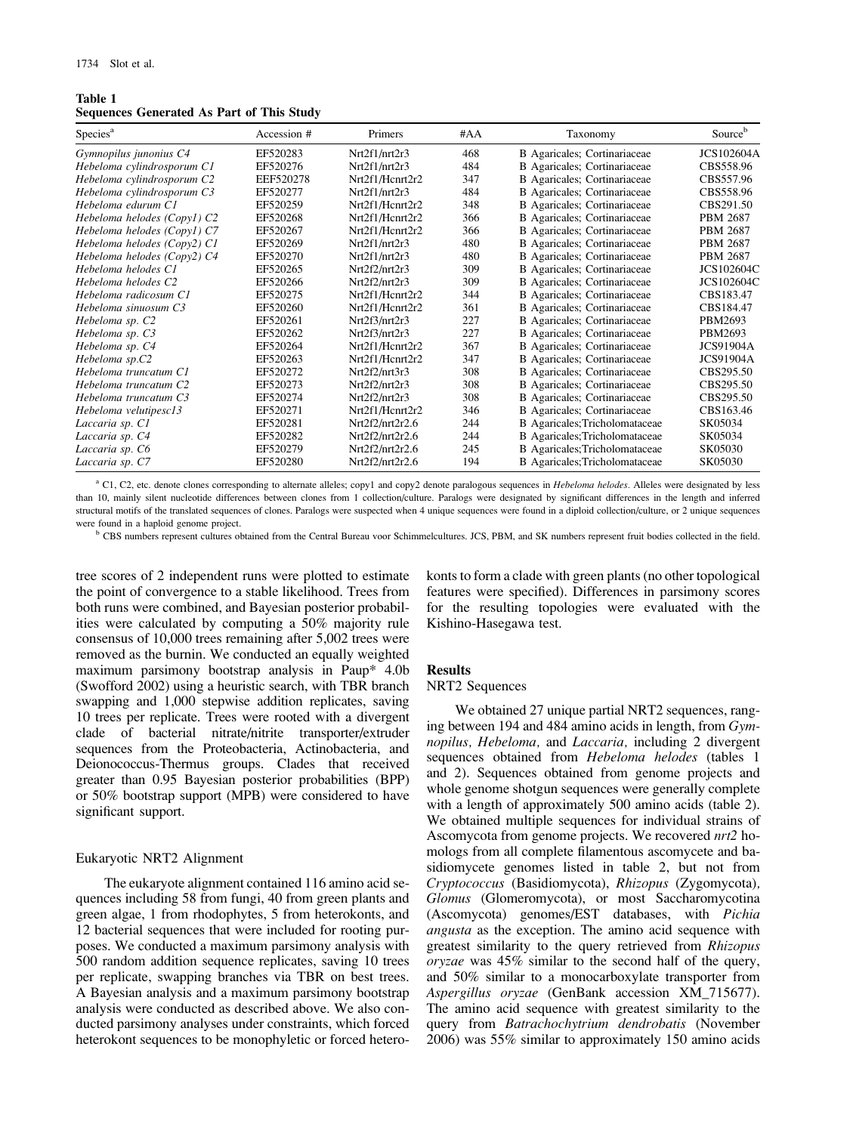## Table 1 Sequences Generated As Part of This Study

| Species <sup>a</sup>        | Accession # | Primers         | #AA | Taxonomy                       | Sourceb           |
|-----------------------------|-------------|-----------------|-----|--------------------------------|-------------------|
| Gymnopilus junonius C4      | EF520283    | Nrt2f1/nrt2r3   | 468 | B Agaricales; Cortinariaceae   | <b>JCS102604A</b> |
| Hebeloma cylindrosporum C1  | EF520276    | Nrt2f1/nrt2r3   | 484 | B Agaricales; Cortinariaceae   | CBS558.96         |
| Hebeloma cylindrosporum C2  | EEF520278   | Nrt2f1/Henrt2r2 | 347 | B Agaricales; Cortinariaceae   | CBS557.96         |
| Hebeloma cylindrosporum C3  | EF520277    | Nrt2f1/nrt2r3   | 484 | B Agaricales; Cortinariaceae   | CBS558.96         |
| Hebeloma edurum C1          | EF520259    | Nrt2f1/Hcnrt2r2 | 348 | B Agaricales; Cortinariaceae   | CBS291.50         |
| Hebeloma helodes (Copyl) C2 | EF520268    | Nrt2f1/Hcnrt2r2 | 366 | B Agaricales; Cortinariaceae   | PBM 2687          |
| Hebeloma helodes (Copyl) C7 | EF520267    | Nrt2f1/Hcnrt2r2 | 366 | B Agaricales; Cortinariaceae   | <b>PBM 2687</b>   |
| Hebeloma helodes (Copy2) C1 | EF520269    | Nrt2f1/nrt2r3   | 480 | B Agaricales; Cortinariaceae   | <b>PBM 2687</b>   |
| Hebeloma helodes (Copy2) C4 | EF520270    | Nrt2f1/nrt2r3   | 480 | B Agaricales; Cortinariaceae   | PBM 2687          |
| Hebeloma helodes C1         | EF520265    | Nrt2f2/nrt2r3   | 309 | B Agaricales; Cortinariaceae   | <b>JCS102604C</b> |
| Hebeloma helodes C2         | EF520266    | Nrt2f2/nrt2r3   | 309 | B Agaricales; Cortinariaceae   | JCS102604C        |
| Hebeloma radicosum C1       | EF520275    | Nrt2f1/Hcnrt2r2 | 344 | B Agaricales; Cortinariaceae   | CBS183.47         |
| Hebeloma sinuosum C3        | EF520260    | Nrt2f1/Hcnrt2r2 | 361 | B Agaricales; Cortinariaceae   | CBS184.47         |
| Hebeloma sp. C2             | EF520261    | Nrt2f3/nrt2r3   | 227 | B Agaricales; Cortinariaceae   | PBM2693           |
| Hebeloma sp. C3             | EF520262    | Nrt2f3/nrt2r3   | 227 | B Agaricales; Cortinariaceae   | PBM2693           |
| Hebeloma sp. C4             | EF520264    | Nrt2f1/Hcnrt2r2 | 367 | B Agaricales; Cortinariaceae   | <b>JCS91904A</b>  |
| Hebeloma sp.C2              | EF520263    | Nrt2f1/Hcnrt2r2 | 347 | B Agaricales; Cortinariaceae   | <b>JCS91904A</b>  |
| Hebeloma truncatum C1       | EF520272    | Nrt2f2/nrt3r3   | 308 | B Agaricales; Cortinariaceae   | CBS295.50         |
| Hebeloma truncatum C2       | EF520273    | Nrt2f2/nrt2r3   | 308 | B Agaricales; Cortinariaceae   | CBS295.50         |
| Hebeloma truncatum C3       | EF520274    | Nrt2f2/nrt2r3   | 308 | B Agaricales; Cortinariaceae   | CBS295.50         |
| Hebeloma velutipesc13       | EF520271    | Nrt2f1/Hcnrt2r2 | 346 | B Agaricales; Cortinariaceae   | CBS163.46         |
| Laccaria sp. C1             | EF520281    | Nrt2f2/nrt2r2.6 | 244 | B Agaricales; Tricholomataceae | SK05034           |
| Laccaria sp. C4             | EF520282    | Nrt2f2/nrt2r2.6 | 244 | B Agaricales; Tricholomataceae | SK05034           |
| Laccaria sp. C6             | EF520279    | Nrt2f2/nrt2r2.6 | 245 | B Agaricales; Tricholomataceae | SK05030           |
| Laccaria sp. C7             | EF520280    | Nrt2f2/nrt2r2.6 | 194 | B Agaricales; Tricholomataceae | SK05030           |

<sup>a</sup> C1, C2, etc. denote clones corresponding to alternate alleles; copy1 and copy2 denote paralogous sequences in Hebeloma helodes. Alleles were designated by less than 10, mainly silent nucleotide differences between clones from 1 collection/culture. Paralogs were designated by significant differences in the length and inferred structural motifs of the translated sequences of clones. Paralogs were suspected when 4 unique sequences were found in a diploid collection/culture, or 2 unique sequences were found in a haploid genome project.

<sup>b</sup> CBS numbers represent cultures obtained from the Central Bureau voor Schimmelcultures. JCS, PBM, and SK numbers represent fruit bodies collected in the field.

tree scores of 2 independent runs were plotted to estimate the point of convergence to a stable likelihood. Trees from both runs were combined, and Bayesian posterior probabilities were calculated by computing a 50% majority rule consensus of 10,000 trees remaining after 5,002 trees were removed as the burnin. We conducted an equally weighted maximum parsimony bootstrap analysis in Paup\* 4.0b (Swofford 2002) using a heuristic search, with TBR branch swapping and 1,000 stepwise addition replicates, saving 10 trees per replicate. Trees were rooted with a divergent clade of bacterial nitrate/nitrite transporter/extruder sequences from the Proteobacteria, Actinobacteria, and Deionococcus-Thermus groups. Clades that received greater than 0.95 Bayesian posterior probabilities (BPP) or 50% bootstrap support (MPB) were considered to have significant support.

## Eukaryotic NRT2 Alignment

The eukaryote alignment contained 116 amino acid sequences including 58 from fungi, 40 from green plants and green algae, 1 from rhodophytes, 5 from heterokonts, and 12 bacterial sequences that were included for rooting purposes. We conducted a maximum parsimony analysis with 500 random addition sequence replicates, saving 10 trees per replicate, swapping branches via TBR on best trees. A Bayesian analysis and a maximum parsimony bootstrap analysis were conducted as described above. We also conducted parsimony analyses under constraints, which forced heterokont sequences to be monophyletic or forced heterokonts to form a clade with green plants (no other topological features were specified). Differences in parsimony scores for the resulting topologies were evaluated with the Kishino-Hasegawa test.

## Results

## NRT2 Sequences

We obtained 27 unique partial NRT2 sequences, ranging between 194 and 484 amino acids in length, from Gymnopilus, Hebeloma, and Laccaria, including 2 divergent sequences obtained from Hebeloma helodes (tables 1 and 2). Sequences obtained from genome projects and whole genome shotgun sequences were generally complete with a length of approximately 500 amino acids (table 2). We obtained multiple sequences for individual strains of Ascomycota from genome projects. We recovered nrt2 homologs from all complete filamentous ascomycete and basidiomycete genomes listed in table 2, but not from Cryptococcus (Basidiomycota), Rhizopus (Zygomycota), Glomus (Glomeromycota), or most Saccharomycotina (Ascomycota) genomes/EST databases, with Pichia angusta as the exception. The amino acid sequence with greatest similarity to the query retrieved from Rhizopus oryzae was 45% similar to the second half of the query, and 50% similar to a monocarboxylate transporter from Aspergillus oryzae (GenBank accession XM\_715677). The amino acid sequence with greatest similarity to the query from Batrachochytrium dendrobatis (November 2006) was 55% similar to approximately 150 amino acids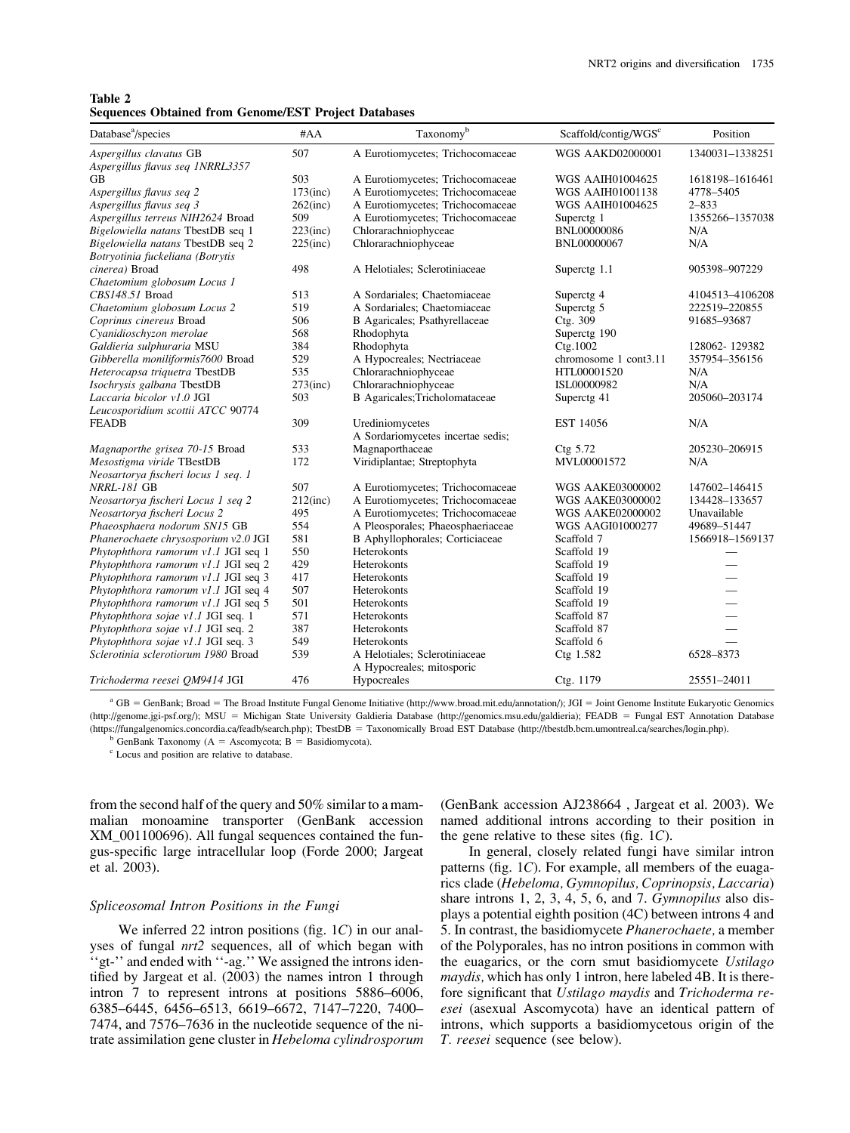| Table 2 |  |                                                             |  |
|---------|--|-------------------------------------------------------------|--|
|         |  | <b>Sequences Obtained from Genome/EST Project Databases</b> |  |

| Database <sup>a</sup> /species       | #AA         | Taxonomyb                         | Scaffold/contig/WGS <sup>c</sup> | Position                 |
|--------------------------------------|-------------|-----------------------------------|----------------------------------|--------------------------|
| Aspergillus clavatus GB              | 507         | A Eurotiomycetes; Trichocomaceae  | <b>WGS AAKD02000001</b>          | 1340031-1338251          |
| Aspergillus flavus seq 1NRRL3357     |             |                                   |                                  |                          |
| <b>GB</b>                            | 503         | A Eurotiomycetes; Trichocomaceae  | <b>WGS AAIH01004625</b>          | 1618198-1616461          |
| Aspergillus flavus seq 2             | $173$ (inc) | A Eurotiomycetes; Trichocomaceae  | <b>WGS AAIH01001138</b>          | 4778-5405                |
| Aspergillus flavus seq 3             | $262$ (inc) | A Eurotiomycetes; Trichocomaceae  | <b>WGS AAIH01004625</b>          | $2 - 833$                |
| Aspergillus terreus NIH2624 Broad    | 509         | A Eurotiomycetes; Trichocomaceae  | Superctg 1                       | 1355266-1357038          |
| Bigelowiella natans TbestDB seq 1    | $223$ (inc) | Chlorarachniophyceae              | <b>BNL00000086</b>               | N/A                      |
| Bigelowiella natans TbestDB seq 2    | $225$ (inc) | Chlorarachniophyceae              | BNL00000067                      | N/A                      |
| Botryotinia fuckeliana (Botrytis     |             |                                   |                                  |                          |
| cinerea) Broad                       | 498         | A Helotiales; Sclerotiniaceae     | Superctg 1.1                     | 905398-907229            |
| Chaetomium globosum Locus 1          |             |                                   |                                  |                          |
| CBS148.51 Broad                      | 513         | A Sordariales; Chaetomiaceae      | Superctg 4                       | 4104513-4106208          |
| Chaetomium globosum Locus 2          | 519         | A Sordariales; Chaetomiaceae      | Superctg <sub>5</sub>            | 222519-220855            |
| Coprinus cinereus Broad              | 506         | B Agaricales; Psathyrellaceae     | Ctg. 309                         | 91685-93687              |
| Cyanidioschyzon merolae              | 568         | Rhodophyta                        | Superctg 190                     |                          |
| Galdieria sulphuraria MSU            | 384         | Rhodophyta                        | Ctg.1002                         | 128062-129382            |
| Gibberella moniliformis7600 Broad    | 529         | A Hypocreales; Nectriaceae        | chromosome 1 cont3.11            | 357954-356156            |
| Heterocapsa triquetra TbestDB        | 535         | Chlorarachniophyceae              | HTL00001520                      | N/A                      |
| Isochrysis galbana TbestDB           | $273$ (inc) | Chlorarachniophyceae              | ISL00000982                      | N/A                      |
| Laccaria bicolor v1.0 JGI            | 503         | B Agaricales; Tricholomataceae    | Superctg 41                      | 205060-203174            |
| Leucosporidium scottii ATCC 90774    |             |                                   |                                  |                          |
| <b>FEADB</b>                         | 309         | Urediniomycetes                   | EST 14056                        | N/A                      |
|                                      |             | A Sordariomycetes incertae sedis; |                                  |                          |
| Magnaporthe grisea 70-15 Broad       | 533         | Magnaporthaceae                   | Ctg 5.72                         | 205230-206915            |
| Mesostigma viride TBestDB            | 172         | Viridiplantae; Streptophyta       | MVL00001572                      | N/A                      |
| Neosartorya fischeri locus 1 seq. 1  |             |                                   |                                  |                          |
| <b>NRRL-181 GB</b>                   | 507         | A Eurotiomycetes; Trichocomaceae  | <b>WGS AAKE03000002</b>          | 147602-146415            |
| Neosartorya fischeri Locus 1 seq 2   | $212$ (inc) | A Eurotiomycetes; Trichocomaceae  | <b>WGS AAKE03000002</b>          | 134428-133657            |
| Neosartorya fischeri Locus 2         | 495         | A Eurotiomycetes; Trichocomaceae  | <b>WGS AAKE02000002</b>          | Unavailable              |
| Phaeosphaera nodorum SN15 GB         | 554         | A Pleosporales; Phaeosphaeriaceae | <b>WGS AAGI01000277</b>          | 49689-51447              |
| Phanerochaete chrysosporium v2.0 JGI | 581         | B Aphyllophorales; Corticiaceae   | Scaffold 7                       | 1566918-1569137          |
| Phytophthora ramorum v1.1 JGI seq 1  | 550         | Heterokonts                       | Scaffold 19                      |                          |
| Phytophthora ramorum v1.1 JGI seq 2  | 429         | Heterokonts                       | Scaffold 19                      |                          |
| Phytophthora ramorum v1.1 JGI seq 3  | 417         | Heterokonts                       | Scaffold 19                      | $\overline{\phantom{0}}$ |
| Phytophthora ramorum v1.1 JGI seq 4  | 507         | Heterokonts                       | Scaffold 19                      |                          |
| Phytophthora ramorum v1.1 JGI seq 5  | 501         | Heterokonts                       | Scaffold 19                      |                          |
| Phytophthora sojae v1.1 JGI seq. 1   | 571         | Heterokonts                       | Scaffold 87                      | $\overline{\phantom{0}}$ |
| Phytophthora sojae v1.1 JGI seq. 2   | 387         | Heterokonts                       | Scaffold 87                      |                          |
| Phytophthora sojae v1.1 JGI seq. 3   | 549         | Heterokonts                       | Scaffold 6                       |                          |
| Sclerotinia sclerotiorum 1980 Broad  | 539         | A Helotiales; Sclerotiniaceae     | Ctg $1.582$                      | 6528-8373                |
|                                      |             | A Hypocreales; mitosporic         |                                  |                          |
| Trichoderma reesei QM9414 JGI        | 476         | Hypocreales                       | Ctg. 1179                        | 25551-24011              |

 $a$  GB = GenBank; Broad = The Broad Institute Fungal Genome Initiative [\(http://www.broad.mit.edu/annotation/\);](http://www.broad.mit.edu/annotation/) JGI = Joint Genome Institute Eukaryotic Genomics [\(http://genome.jgi-psf.org/\);](http://genome.jgi-psf.org/) MSU = Michigan State University Galdieria Database [\(http://genomics.msu.edu/galdieria\);](http://genomics.msu.edu/galdieria) FEADB = Fungal EST Annotation Database [\(https://fungalgenomics.concordia.ca/feadb/search.php\);](https://fungalgenomics.concordia.ca/feadb/search.php) TbestDB = Taxonomically Broad EST Database [\(http://tbestdb.bcm.umontreal.ca/searches/login.php\).](http://tbestdb.bcm.umontreal.ca/searches/login.php)

 $b$  GenBank Taxonomy (A = Ascomycota; B = Basidiomycota).

<sup>c</sup> Locus and position are relative to database.

from the second half of the query and 50% similar to a mammalian monoamine transporter (GenBank accession XM\_001100696). All fungal sequences contained the fungus-specific large intracellular loop (Forde 2000; Jargeat et al. 2003).

#### Spliceosomal Intron Positions in the Fungi

We inferred 22 intron positions (fig. 1C) in our analyses of fungal  $nrt2$  sequences, all of which began with 'gt-'' and ended with "-ag.'' We assigned the introns identified by Jargeat et al. (2003) the names intron 1 through intron 7 to represent introns at positions 5886–6006, 6385–6445, 6456–6513, 6619–6672, 7147–7220, 7400– 7474, and 7576–7636 in the nucleotide sequence of the nitrate assimilation gene cluster in Hebeloma cylindrosporum

(GenBank accession AJ238664 , Jargeat et al. 2003). We named additional introns according to their position in the gene relative to these sites (fig.  $1C$ ).

In general, closely related fungi have similar intron patterns (fig. 1C). For example, all members of the euagarics clade (Hebeloma, Gymnopilus, Coprinopsis, Laccaria) share introns 1, 2, 3, 4, 5, 6, and 7. Gymnopilus also displays a potential eighth position (4C) between introns 4 and 5. In contrast, the basidiomycete Phanerochaete, a member of the Polyporales, has no intron positions in common with the euagarics, or the corn smut basidiomycete Ustilago maydis, which has only 1 intron, here labeled 4B. It is therefore significant that Ustilago maydis and Trichoderma reesei (asexual Ascomycota) have an identical pattern of introns, which supports a basidiomycetous origin of the T. reesei sequence (see below).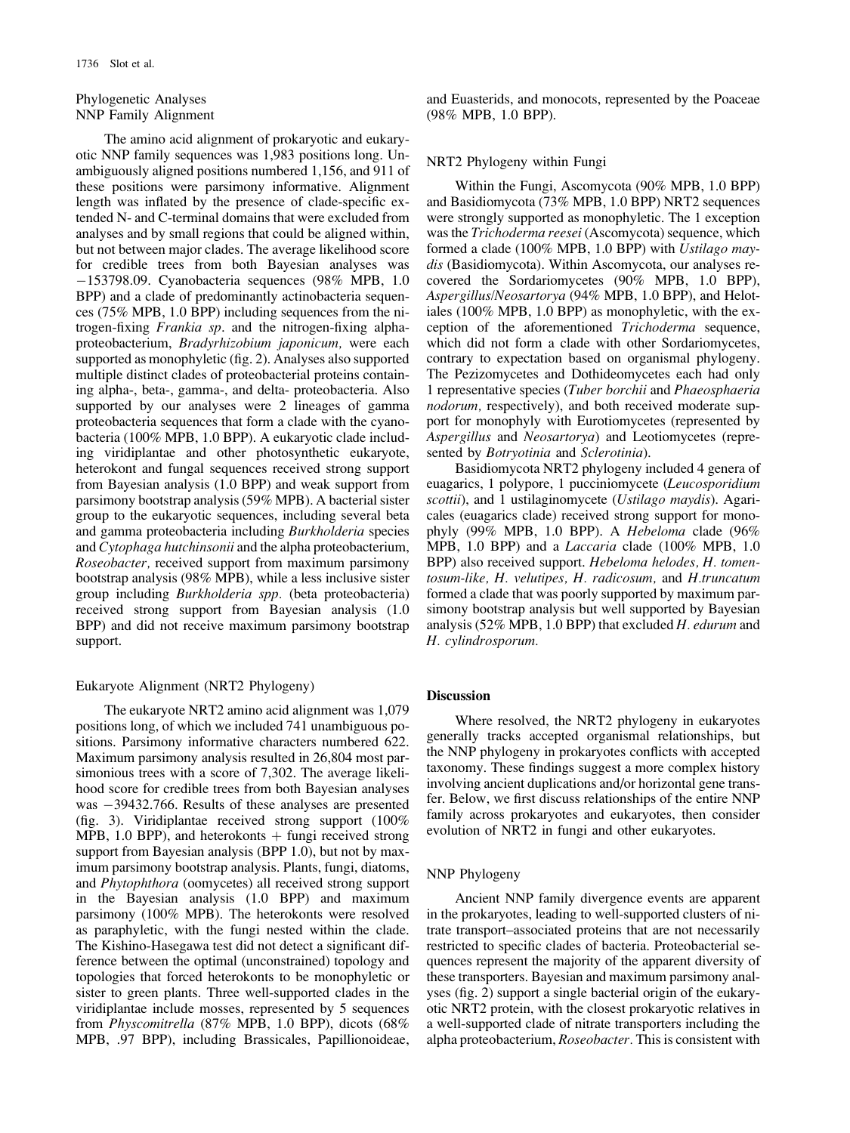## Phylogenetic Analyses NNP Family Alignment

The amino acid alignment of prokaryotic and eukaryotic NNP family sequences was 1,983 positions long. Unambiguously aligned positions numbered 1,156, and 911 of these positions were parsimony informative. Alignment length was inflated by the presence of clade-specific extended N- and C-terminal domains that were excluded from analyses and by small regions that could be aligned within, but not between major clades. The average likelihood score for credible trees from both Bayesian analyses was 153798.09. Cyanobacteria sequences (98% MPB, 1.0 BPP) and a clade of predominantly actinobacteria sequences (75% MPB, 1.0 BPP) including sequences from the nitrogen-fixing Frankia sp. and the nitrogen-fixing alphaproteobacterium, Bradyrhizobium japonicum, were each supported as monophyletic (fig. 2). Analyses also supported multiple distinct clades of proteobacterial proteins containing alpha-, beta-, gamma-, and delta- proteobacteria. Also supported by our analyses were 2 lineages of gamma proteobacteria sequences that form a clade with the cyanobacteria (100% MPB, 1.0 BPP). A eukaryotic clade including viridiplantae and other photosynthetic eukaryote, heterokont and fungal sequences received strong support from Bayesian analysis (1.0 BPP) and weak support from parsimony bootstrap analysis (59% MPB). A bacterial sister group to the eukaryotic sequences, including several beta and gamma proteobacteria including Burkholderia species and Cytophaga hutchinsonii and the alpha proteobacterium, Roseobacter, received support from maximum parsimony bootstrap analysis (98% MPB), while a less inclusive sister group including Burkholderia spp. (beta proteobacteria) received strong support from Bayesian analysis (1.0 BPP) and did not receive maximum parsimony bootstrap support.

## Eukaryote Alignment (NRT2 Phylogeny)

The eukaryote NRT2 amino acid alignment was 1,079 positions long, of which we included 741 unambiguous positions. Parsimony informative characters numbered 622. Maximum parsimony analysis resulted in 26,804 most parsimonious trees with a score of 7,302. The average likelihood score for credible trees from both Bayesian analyses was  $-39432.766$ . Results of these analyses are presented (fig. 3). Viridiplantae received strong support (100% MPB, 1.0 BPP), and heterokonts  $+$  fungi received strong support from Bayesian analysis (BPP 1.0), but not by maximum parsimony bootstrap analysis. Plants, fungi, diatoms, and Phytophthora (oomycetes) all received strong support in the Bayesian analysis (1.0 BPP) and maximum parsimony (100% MPB). The heterokonts were resolved as paraphyletic, with the fungi nested within the clade. The Kishino-Hasegawa test did not detect a significant difference between the optimal (unconstrained) topology and topologies that forced heterokonts to be monophyletic or sister to green plants. Three well-supported clades in the viridiplantae include mosses, represented by 5 sequences from Physcomitrella (87% MPB, 1.0 BPP), dicots (68% MPB, .97 BPP), including Brassicales, Papillionoideae, and Euasterids, and monocots, represented by the Poaceae (98% MPB, 1.0 BPP).

#### NRT2 Phylogeny within Fungi

Within the Fungi, Ascomycota (90% MPB, 1.0 BPP) and Basidiomycota (73% MPB, 1.0 BPP) NRT2 sequences were strongly supported as monophyletic. The 1 exception was the Trichoderma reesei (Ascomycota) sequence, which formed a clade (100% MPB, 1.0 BPP) with Ustilago maydis (Basidiomycota). Within Ascomycota, our analyses recovered the Sordariomycetes (90% MPB, 1.0 BPP), Aspergillus/Neosartorya (94% MPB, 1.0 BPP), and Helotiales (100% MPB, 1.0 BPP) as monophyletic, with the exception of the aforementioned Trichoderma sequence, which did not form a clade with other Sordariomycetes, contrary to expectation based on organismal phylogeny. The Pezizomycetes and Dothideomycetes each had only 1 representative species (Tuber borchii and Phaeosphaeria nodorum, respectively), and both received moderate support for monophyly with Eurotiomycetes (represented by Aspergillus and Neosartorya) and Leotiomycetes (represented by *Botryotinia* and *Sclerotinia*).

Basidiomycota NRT2 phylogeny included 4 genera of euagarics, 1 polypore, 1 pucciniomycete (Leucosporidium scottii), and 1 ustilaginomycete (Ustilago maydis). Agaricales (euagarics clade) received strong support for monophyly (99% MPB, 1.0 BPP). A Hebeloma clade (96% MPB, 1.0 BPP) and a Laccaria clade (100% MPB, 1.0 BPP) also received support. Hebeloma helodes, H. tomentosum-like, H. velutipes, H. radicosum, and H.truncatum formed a clade that was poorly supported by maximum parsimony bootstrap analysis but well supported by Bayesian analysis (52% MPB, 1.0 BPP) that excluded H. edurum and H. cylindrosporum.

## Discussion

Where resolved, the NRT2 phylogeny in eukaryotes generally tracks accepted organismal relationships, but the NNP phylogeny in prokaryotes conflicts with accepted taxonomy. These findings suggest a more complex history involving ancient duplications and/or horizontal gene transfer. Below, we first discuss relationships of the entire NNP family across prokaryotes and eukaryotes, then consider evolution of NRT2 in fungi and other eukaryotes.

#### NNP Phylogeny

Ancient NNP family divergence events are apparent in the prokaryotes, leading to well-supported clusters of nitrate transport–associated proteins that are not necessarily restricted to specific clades of bacteria. Proteobacterial sequences represent the majority of the apparent diversity of these transporters. Bayesian and maximum parsimony analyses (fig. 2) support a single bacterial origin of the eukaryotic NRT2 protein, with the closest prokaryotic relatives in a well-supported clade of nitrate transporters including the alpha proteobacterium, Roseobacter. This is consistent with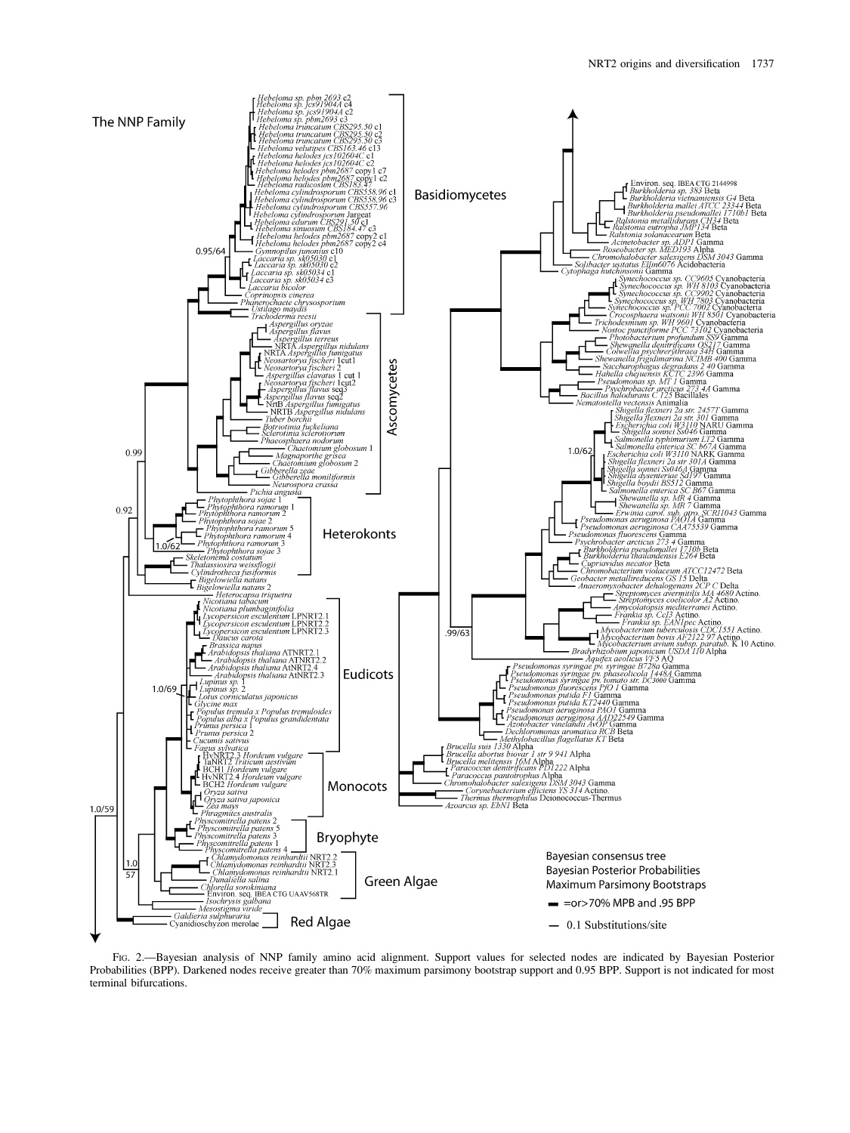

FIG. 2.—Bayesian analysis of NNP family amino acid alignment. Support values for selected nodes are indicated by Bayesian Posterior Probabilities (BPP). Darkened nodes receive greater than 70% maximum parsimony bootstrap support and 0.95 BPP. Support is not indicated for most terminal bifurcations.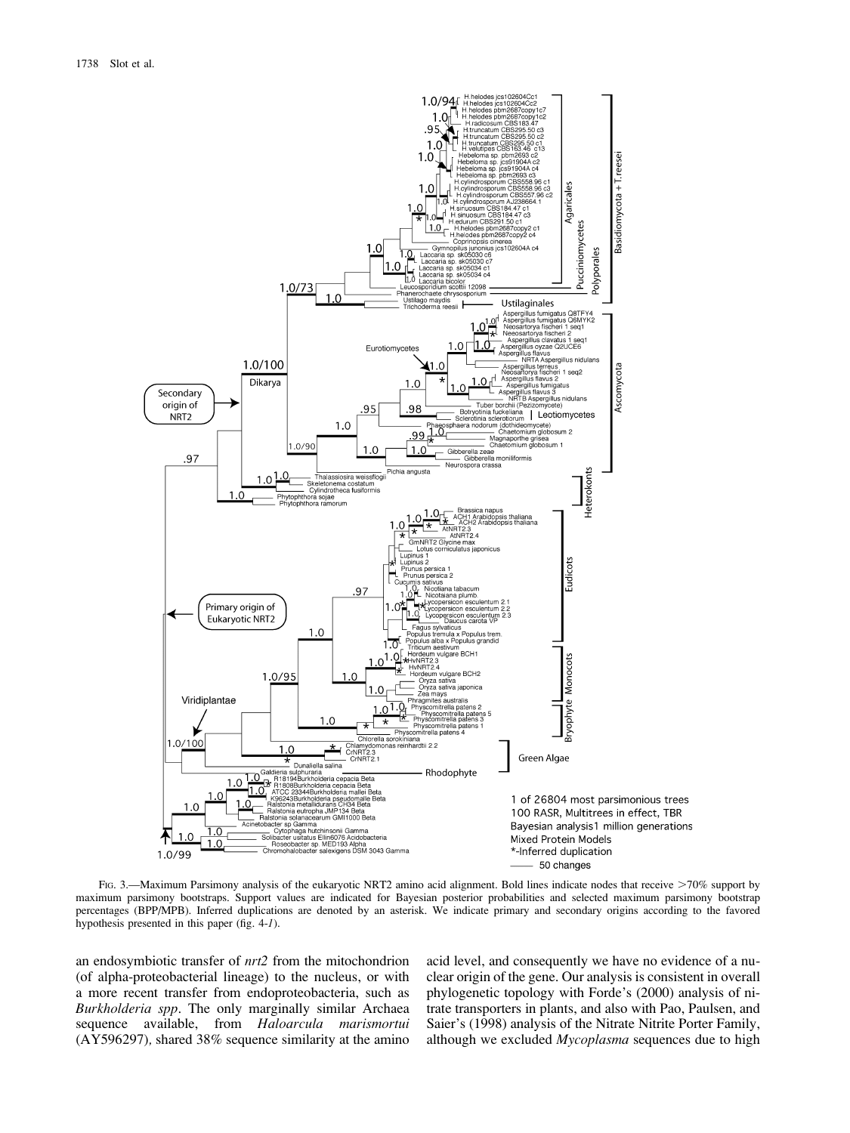

FIG. 3.—Maximum Parsimony analysis of the eukaryotic NRT2 amino acid alignment. Bold lines indicate nodes that receive >70% support by maximum parsimony bootstraps. Support values are indicated for Bayesian posterior probabilities and selected maximum parsimony bootstrap percentages (BPP/MPB). Inferred duplications are denoted by an asterisk. We indicate primary and secondary origins according to the favored hypothesis presented in this paper (fig. 4-1).

an endosymbiotic transfer of nrt2 from the mitochondrion (of alpha-proteobacterial lineage) to the nucleus, or with a more recent transfer from endoproteobacteria, such as Burkholderia spp. The only marginally similar Archaea sequence available, from Haloarcula marismortui (AY596297), shared 38% sequence similarity at the amino acid level, and consequently we have no evidence of a nuclear origin of the gene. Our analysis is consistent in overall phylogenetic topology with Forde's (2000) analysis of nitrate transporters in plants, and also with Pao, Paulsen, and Saier's (1998) analysis of the Nitrate Nitrite Porter Family, although we excluded Mycoplasma sequences due to high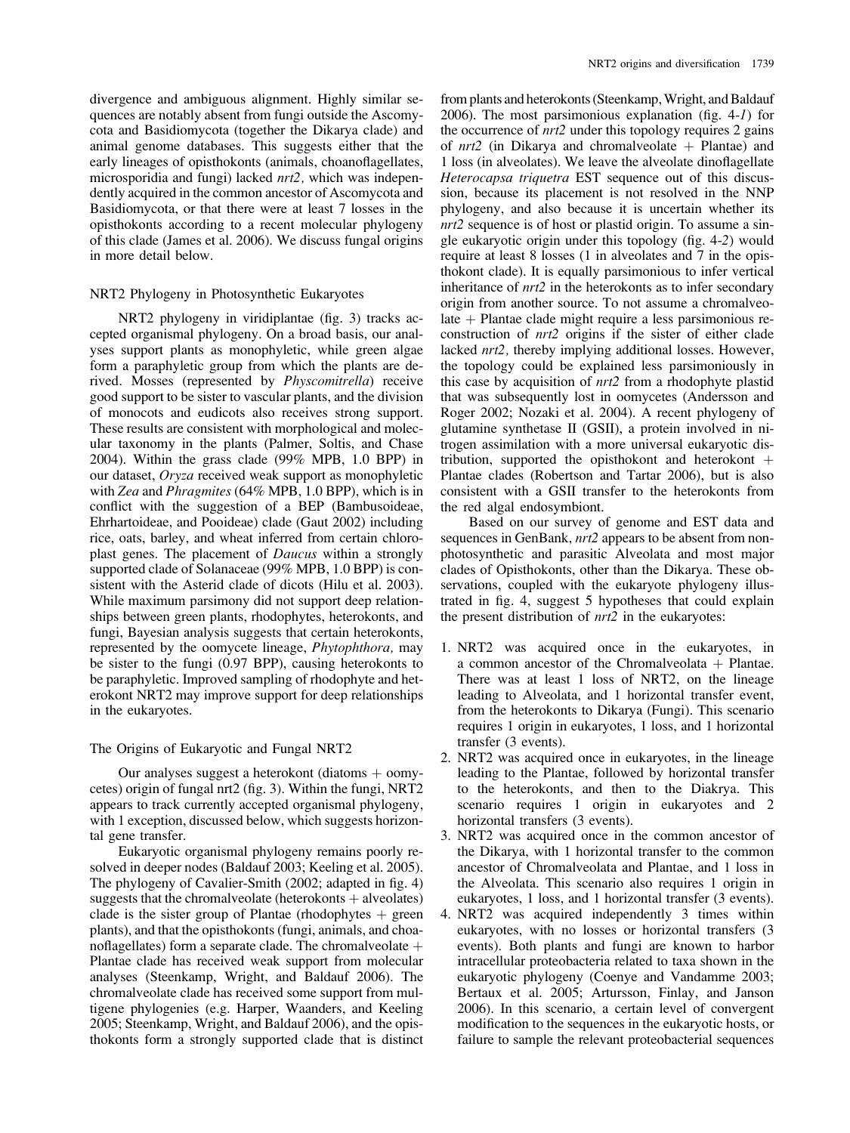divergence and ambiguous alignment. Highly similar sequences are notably absent from fungi outside the Ascomycota and Basidiomycota (together the Dikarya clade) and animal genome databases. This suggests either that the early lineages of opisthokonts (animals, choanoflagellates, microsporidia and fungi) lacked *nrt2*, which was independently acquired in the common ancestor of Ascomycota and Basidiomycota, or that there were at least 7 losses in the opisthokonts according to a recent molecular phylogeny of this clade (James et al. 2006). We discuss fungal origins in more detail below.

## NRT2 Phylogeny in Photosynthetic Eukaryotes

NRT2 phylogeny in viridiplantae (fig. 3) tracks accepted organismal phylogeny. On a broad basis, our analyses support plants as monophyletic, while green algae form a paraphyletic group from which the plants are derived. Mosses (represented by *Physcomitrella*) receive good support to be sister to vascular plants, and the division of monocots and eudicots also receives strong support. These results are consistent with morphological and molecular taxonomy in the plants (Palmer, Soltis, and Chase 2004). Within the grass clade (99% MPB, 1.0 BPP) in our dataset, Oryza received weak support as monophyletic with Zea and Phragmites (64% MPB, 1.0 BPP), which is in conflict with the suggestion of a BEP (Bambusoideae, Ehrhartoideae, and Pooideae) clade (Gaut 2002) including rice, oats, barley, and wheat inferred from certain chloroplast genes. The placement of Daucus within a strongly supported clade of Solanaceae (99% MPB, 1.0 BPP) is consistent with the Asterid clade of dicots (Hilu et al. 2003). While maximum parsimony did not support deep relationships between green plants, rhodophytes, heterokonts, and fungi, Bayesian analysis suggests that certain heterokonts, represented by the oomycete lineage, Phytophthora, may be sister to the fungi (0.97 BPP), causing heterokonts to be paraphyletic. Improved sampling of rhodophyte and heterokont NRT2 may improve support for deep relationships in the eukaryotes.

#### The Origins of Eukaryotic and Fungal NRT2

Our analyses suggest a heterokont (diatoms  $+$  oomycetes) origin of fungal nrt2 (fig. 3). Within the fungi, NRT2 appears to track currently accepted organismal phylogeny, with 1 exception, discussed below, which suggests horizontal gene transfer.

Eukaryotic organismal phylogeny remains poorly resolved in deeper nodes (Baldauf 2003; Keeling et al. 2005). The phylogeny of Cavalier-Smith (2002; adapted in fig. 4) suggests that the chromalveolate (heterokonts  $+$  alveolates) clade is the sister group of Plantae (rhodophytes  $+$  green plants), and that the opisthokonts (fungi, animals, and choanoflagellates) form a separate clade. The chromalveolate  $\pm$ Plantae clade has received weak support from molecular analyses (Steenkamp, Wright, and Baldauf 2006). The chromalveolate clade has received some support from multigene phylogenies (e.g. Harper, Waanders, and Keeling 2005; Steenkamp, Wright, and Baldauf 2006), and the opisthokonts form a strongly supported clade that is distinct

from plants and heterokonts (Steenkamp,Wright, and Baldauf 2006). The most parsimonious explanation (fig. 4-1) for the occurrence of *nrt*2 under this topology requires 2 gains of  $nrt2$  (in Dikarya and chromalveolate  $+$  Plantae) and 1 loss (in alveolates). We leave the alveolate dinoflagellate Heterocapsa triquetra EST sequence out of this discussion, because its placement is not resolved in the NNP phylogeny, and also because it is uncertain whether its nrt2 sequence is of host or plastid origin. To assume a single eukaryotic origin under this topology (fig. 4-2) would require at least 8 losses (1 in alveolates and 7 in the opisthokont clade). It is equally parsimonious to infer vertical inheritance of  $nrt2$  in the heterokonts as to infer secondary origin from another source. To not assume a chromalveo $late + Plantae clade might require a less parsimonious re$ construction of nrt2 origins if the sister of either clade lacked nrt2, thereby implying additional losses. However, the topology could be explained less parsimoniously in this case by acquisition of nrt2 from a rhodophyte plastid that was subsequently lost in oomycetes (Andersson and Roger 2002; Nozaki et al. 2004). A recent phylogeny of glutamine synthetase II (GSII), a protein involved in nitrogen assimilation with a more universal eukaryotic distribution, supported the opisthokont and heterokont  $+$ Plantae clades (Robertson and Tartar 2006), but is also consistent with a GSII transfer to the heterokonts from the red algal endosymbiont.

Based on our survey of genome and EST data and sequences in GenBank,  $nrt2$  appears to be absent from nonphotosynthetic and parasitic Alveolata and most major clades of Opisthokonts, other than the Dikarya. These observations, coupled with the eukaryote phylogeny illustrated in fig. 4, suggest 5 hypotheses that could explain the present distribution of nrt2 in the eukaryotes:

- 1. NRT2 was acquired once in the eukaryotes, in a common ancestor of the Chromalveolata  $+$  Plantae. There was at least 1 loss of NRT2, on the lineage leading to Alveolata, and 1 horizontal transfer event, from the heterokonts to Dikarya (Fungi). This scenario requires 1 origin in eukaryotes, 1 loss, and 1 horizontal transfer (3 events).
- 2. NRT2 was acquired once in eukaryotes, in the lineage leading to the Plantae, followed by horizontal transfer to the heterokonts, and then to the Diakrya. This scenario requires 1 origin in eukaryotes and 2 horizontal transfers (3 events).
- 3. NRT2 was acquired once in the common ancestor of the Dikarya, with 1 horizontal transfer to the common ancestor of Chromalveolata and Plantae, and 1 loss in the Alveolata. This scenario also requires 1 origin in eukaryotes, 1 loss, and 1 horizontal transfer (3 events).
- 4. NRT2 was acquired independently 3 times within eukaryotes, with no losses or horizontal transfers (3 events). Both plants and fungi are known to harbor intracellular proteobacteria related to taxa shown in the eukaryotic phylogeny (Coenye and Vandamme 2003; Bertaux et al. 2005; Artursson, Finlay, and Janson 2006). In this scenario, a certain level of convergent modification to the sequences in the eukaryotic hosts, or failure to sample the relevant proteobacterial sequences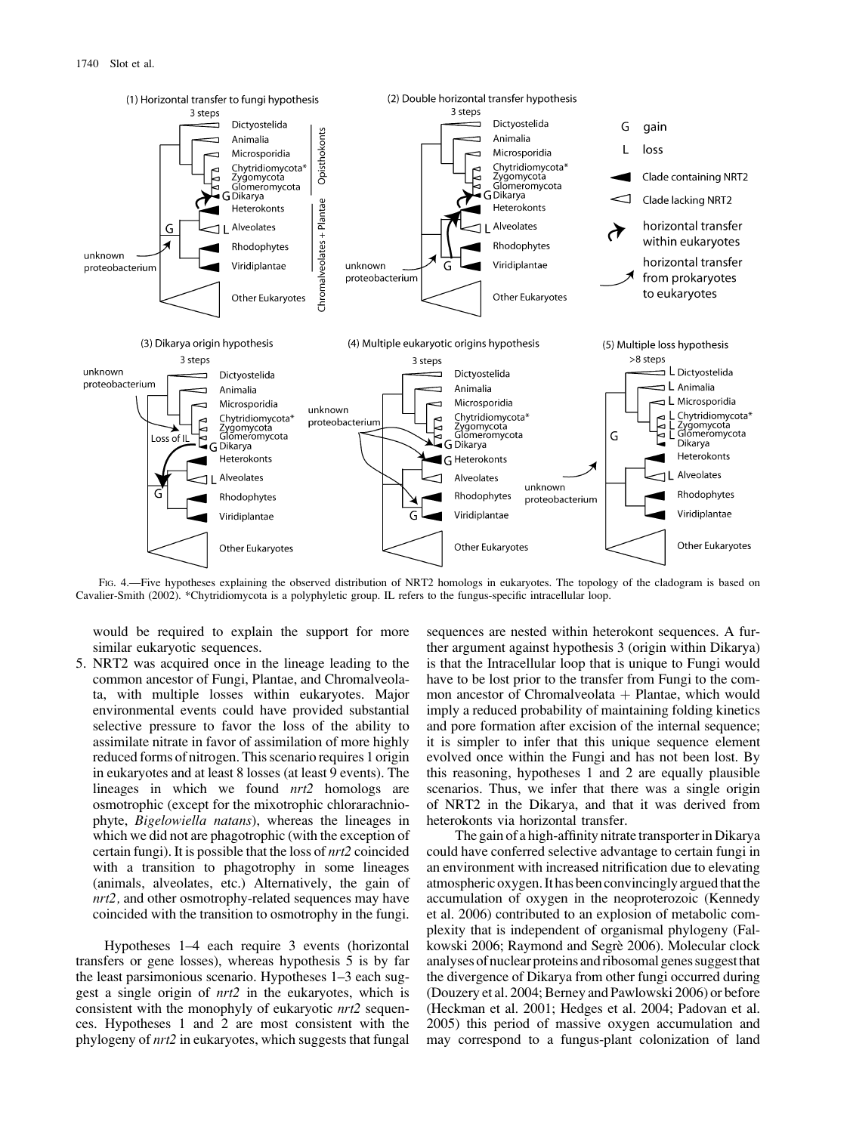

FIG. 4.—Five hypotheses explaining the observed distribution of NRT2 homologs in eukaryotes. The topology of the cladogram is based on Cavalier-Smith (2002). \*Chytridiomycota is a polyphyletic group. IL refers to the fungus-specific intracellular loop.

would be required to explain the support for more similar eukaryotic sequences.

5. NRT2 was acquired once in the lineage leading to the common ancestor of Fungi, Plantae, and Chromalveolata, with multiple losses within eukaryotes. Major environmental events could have provided substantial selective pressure to favor the loss of the ability to assimilate nitrate in favor of assimilation of more highly reduced forms of nitrogen. This scenario requires 1 origin in eukaryotes and at least 8 losses (at least 9 events). The lineages in which we found  $nrt2$  homologs are osmotrophic (except for the mixotrophic chlorarachniophyte, Bigelowiella natans), whereas the lineages in which we did not are phagotrophic (with the exception of certain fungi). It is possible that the loss of nrt2 coincided with a transition to phagotrophy in some lineages (animals, alveolates, etc.) Alternatively, the gain of nrt2, and other osmotrophy-related sequences may have coincided with the transition to osmotrophy in the fungi.

Hypotheses 1–4 each require 3 events (horizontal transfers or gene losses), whereas hypothesis 5 is by far the least parsimonious scenario. Hypotheses 1–3 each suggest a single origin of nrt2 in the eukaryotes, which is consistent with the monophyly of eukaryotic nrt2 sequences. Hypotheses 1 and 2 are most consistent with the phylogeny of nrt2 in eukaryotes, which suggests that fungal

sequences are nested within heterokont sequences. A further argument against hypothesis 3 (origin within Dikarya) is that the Intracellular loop that is unique to Fungi would have to be lost prior to the transfer from Fungi to the common ancestor of Chromalveolata  $+$  Plantae, which would imply a reduced probability of maintaining folding kinetics and pore formation after excision of the internal sequence; it is simpler to infer that this unique sequence element evolved once within the Fungi and has not been lost. By this reasoning, hypotheses 1 and 2 are equally plausible scenarios. Thus, we infer that there was a single origin of NRT2 in the Dikarya, and that it was derived from heterokonts via horizontal transfer.

The gain of a high-affinity nitrate transporter in Dikarya could have conferred selective advantage to certain fungi in an environment with increased nitrification due to elevating atmospheric oxygen. It has been convincingly argued that the accumulation of oxygen in the neoproterozoic (Kennedy et al. 2006) contributed to an explosion of metabolic complexity that is independent of organismal phylogeny (Falkowski 2006; Raymond and Segrè 2006). Molecular clock analyses of nuclear proteins and ribosomal genes suggestthat the divergence of Dikarya from other fungi occurred during (Douzery et al. 2004; Berney and Pawlowski 2006) or before (Heckman et al. 2001; Hedges et al. 2004; Padovan et al. 2005) this period of massive oxygen accumulation and may correspond to a fungus-plant colonization of land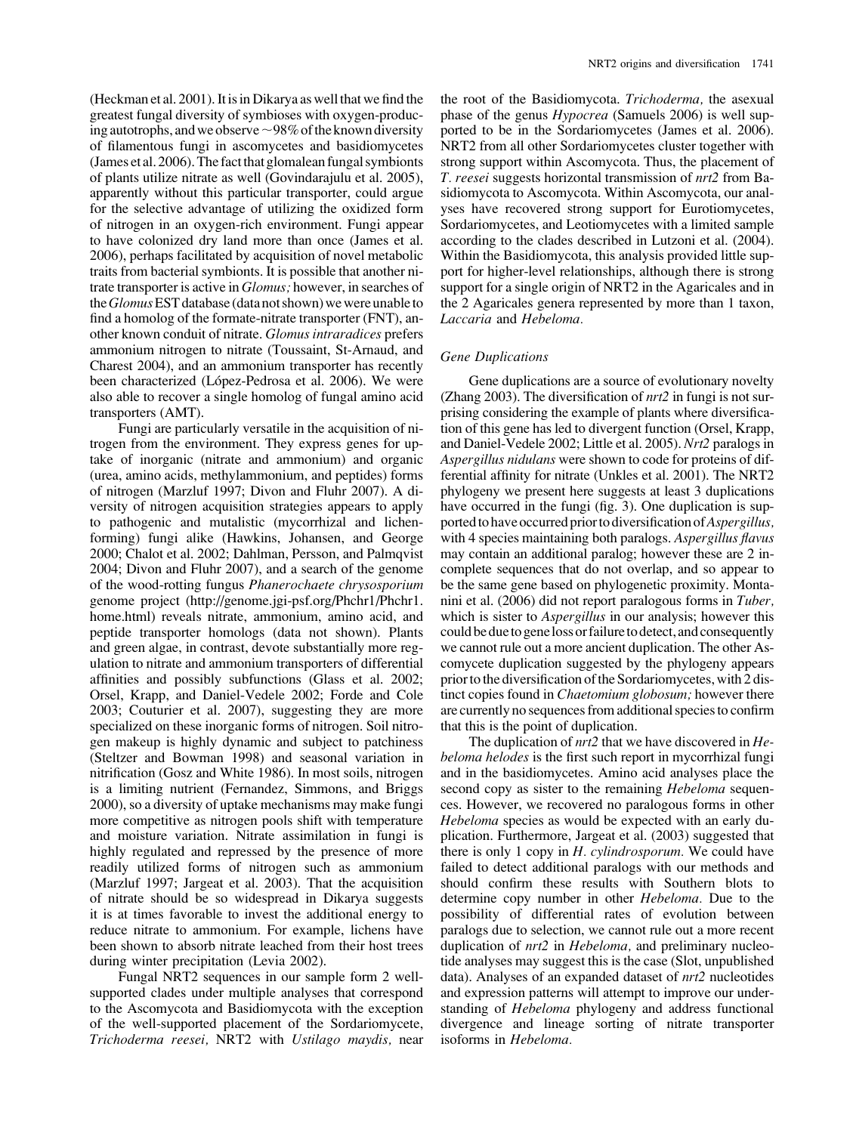(Heckman et al. 2001). It is in Dikarya as well that we find the greatest fungal diversity of symbioses with oxygen-producing autotrophs, and we observe  $\sim$ 98% of the known diversity of filamentous fungi in ascomycetes and basidiomycetes (James et al. 2006). The fact that glomalean fungal symbionts of plants utilize nitrate as well (Govindarajulu et al. 2005), apparently without this particular transporter, could argue for the selective advantage of utilizing the oxidized form of nitrogen in an oxygen-rich environment. Fungi appear to have colonized dry land more than once (James et al. 2006), perhaps facilitated by acquisition of novel metabolic traits from bacterial symbionts. It is possible that another nitrate transporter is active in *Glomus*; however, in searches of the Glomus EST database (data not shown) we were unable to find a homolog of the formate-nitrate transporter (FNT), another known conduit of nitrate. Glomus intraradices prefers ammonium nitrogen to nitrate (Toussaint, St-Arnaud, and Charest 2004), and an ammonium transporter has recently been characterized (López-Pedrosa et al. 2006). We were also able to recover a single homolog of fungal amino acid transporters (AMT).

Fungi are particularly versatile in the acquisition of nitrogen from the environment. They express genes for uptake of inorganic (nitrate and ammonium) and organic (urea, amino acids, methylammonium, and peptides) forms of nitrogen (Marzluf 1997; Divon and Fluhr 2007). A diversity of nitrogen acquisition strategies appears to apply to pathogenic and mutalistic (mycorrhizal and lichenforming) fungi alike (Hawkins, Johansen, and George 2000; Chalot et al. 2002; Dahlman, Persson, and Palmqvist 2004; Divon and Fluhr 2007), and a search of the genome of the wood-rotting fungus Phanerochaete chrysosporium genome project [\(http://genome.jgi-psf.org/Phchr1/Phchr1.](http://genome.jgi-psf.org/Phchr1/Phchr1.home.html) [home.html\)](http://genome.jgi-psf.org/Phchr1/Phchr1.home.html) reveals nitrate, ammonium, amino acid, and peptide transporter homologs (data not shown). Plants and green algae, in contrast, devote substantially more regulation to nitrate and ammonium transporters of differential affinities and possibly subfunctions (Glass et al. 2002; Orsel, Krapp, and Daniel-Vedele 2002; Forde and Cole 2003; Couturier et al. 2007), suggesting they are more specialized on these inorganic forms of nitrogen. Soil nitrogen makeup is highly dynamic and subject to patchiness (Steltzer and Bowman 1998) and seasonal variation in nitrification (Gosz and White 1986). In most soils, nitrogen is a limiting nutrient (Fernandez, Simmons, and Briggs 2000), so a diversity of uptake mechanisms may make fungi more competitive as nitrogen pools shift with temperature and moisture variation. Nitrate assimilation in fungi is highly regulated and repressed by the presence of more readily utilized forms of nitrogen such as ammonium (Marzluf 1997; Jargeat et al. 2003). That the acquisition of nitrate should be so widespread in Dikarya suggests it is at times favorable to invest the additional energy to reduce nitrate to ammonium. For example, lichens have been shown to absorb nitrate leached from their host trees during winter precipitation (Levia 2002).

Fungal NRT2 sequences in our sample form 2 wellsupported clades under multiple analyses that correspond to the Ascomycota and Basidiomycota with the exception of the well-supported placement of the Sordariomycete, Trichoderma reesei, NRT2 with Ustilago maydis, near the root of the Basidiomycota. Trichoderma, the asexual phase of the genus Hypocrea (Samuels 2006) is well supported to be in the Sordariomycetes (James et al. 2006). NRT2 from all other Sordariomycetes cluster together with strong support within Ascomycota. Thus, the placement of T. reesei suggests horizontal transmission of nrt2 from Basidiomycota to Ascomycota. Within Ascomycota, our analyses have recovered strong support for Eurotiomycetes, Sordariomycetes, and Leotiomycetes with a limited sample according to the clades described in Lutzoni et al. (2004). Within the Basidiomycota, this analysis provided little support for higher-level relationships, although there is strong support for a single origin of NRT2 in the Agaricales and in the 2 Agaricales genera represented by more than 1 taxon, Laccaria and Hebeloma.

#### Gene Duplications

Gene duplications are a source of evolutionary novelty (Zhang 2003). The diversification of  $nrt2$  in fungi is not surprising considering the example of plants where diversification of this gene has led to divergent function (Orsel, Krapp, and Daniel-Vedele 2002; Little et al. 2005). Nrt2 paralogs in Aspergillus nidulans were shown to code for proteins of differential affinity for nitrate (Unkles et al. 2001). The NRT2 phylogeny we present here suggests at least 3 duplications have occurred in the fungi (fig. 3). One duplication is supported to have occurred prior to diversification of Aspergillus, with 4 species maintaining both paralogs. Aspergillus flavus may contain an additional paralog; however these are 2 incomplete sequences that do not overlap, and so appear to be the same gene based on phylogenetic proximity. Montanini et al. (2006) did not report paralogous forms in Tuber, which is sister to Aspergillus in our analysis; however this could be due to gene loss or failure to detect, and consequently we cannot rule out a more ancient duplication. The other Ascomycete duplication suggested by the phylogeny appears prior to the diversification of the Sordariomycetes, with 2 distinct copies found in *Chaetomium globosum*; however there are currently no sequences from additional species to confirm that this is the point of duplication.

The duplication of *nrt*2 that we have discovered in *He*beloma helodes is the first such report in mycorrhizal fungi and in the basidiomycetes. Amino acid analyses place the second copy as sister to the remaining *Hebeloma* sequences. However, we recovered no paralogous forms in other Hebeloma species as would be expected with an early duplication. Furthermore, Jargeat et al. (2003) suggested that there is only 1 copy in  $H$ . *cylindrosporum*. We could have failed to detect additional paralogs with our methods and should confirm these results with Southern blots to determine copy number in other Hebeloma. Due to the possibility of differential rates of evolution between paralogs due to selection, we cannot rule out a more recent duplication of *nrt2* in *Hebeloma*, and preliminary nucleotide analyses may suggest this is the case (Slot, unpublished data). Analyses of an expanded dataset of nrt2 nucleotides and expression patterns will attempt to improve our understanding of Hebeloma phylogeny and address functional divergence and lineage sorting of nitrate transporter isoforms in Hebeloma.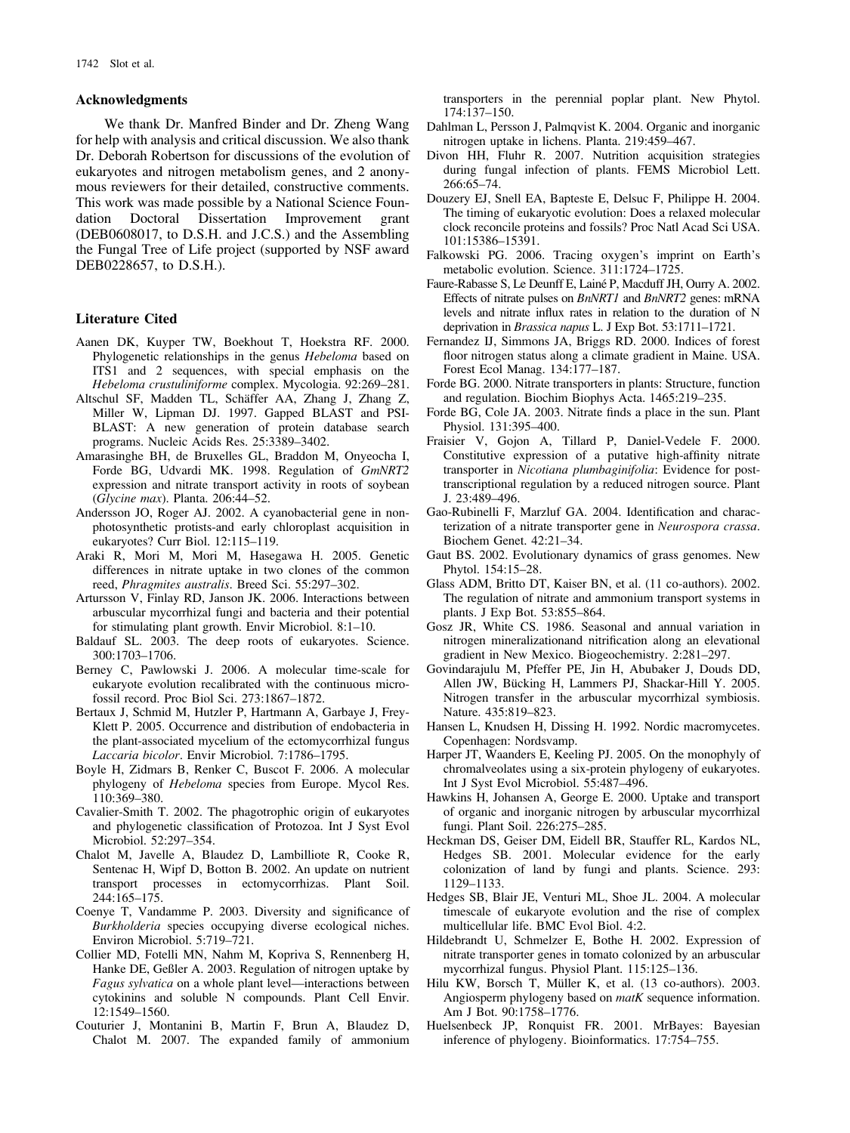#### Acknowledgments

We thank Dr. Manfred Binder and Dr. Zheng Wang for help with analysis and critical discussion. We also thank Dr. Deborah Robertson for discussions of the evolution of eukaryotes and nitrogen metabolism genes, and 2 anonymous reviewers for their detailed, constructive comments. This work was made possible by a National Science Foundation Doctoral Dissertation Improvement grant (DEB0608017, to D.S.H. and J.C.S.) and the Assembling the Fungal Tree of Life project (supported by NSF award DEB0228657, to D.S.H.).

#### Literature Cited

- Aanen DK, Kuyper TW, Boekhout T, Hoekstra RF. 2000. Phylogenetic relationships in the genus Hebeloma based on ITS1 and 2 sequences, with special emphasis on the Hebeloma crustuliniforme complex. Mycologia. 92:269–281.
- Altschul SF, Madden TL, Schäffer AA, Zhang J, Zhang Z, Miller W, Lipman DJ. 1997. Gapped BLAST and PSI-BLAST: A new generation of protein database search programs. Nucleic Acids Res. 25:3389–3402.
- Amarasinghe BH, de Bruxelles GL, Braddon M, Onyeocha I, Forde BG, Udvardi MK. 1998. Regulation of GmNRT2 expression and nitrate transport activity in roots of soybean (Glycine max). Planta. 206:44–52.
- Andersson JO, Roger AJ. 2002. A cyanobacterial gene in nonphotosynthetic protists-and early chloroplast acquisition in eukaryotes? Curr Biol. 12:115–119.
- Araki R, Mori M, Mori M, Hasegawa H. 2005. Genetic differences in nitrate uptake in two clones of the common reed, Phragmites australis. Breed Sci. 55:297–302.
- Artursson V, Finlay RD, Janson JK. 2006. Interactions between arbuscular mycorrhizal fungi and bacteria and their potential for stimulating plant growth. Envir Microbiol. 8:1–10.
- Baldauf SL. 2003. The deep roots of eukaryotes. Science. 300:1703–1706.
- Berney C, Pawlowski J. 2006. A molecular time-scale for eukaryote evolution recalibrated with the continuous microfossil record. Proc Biol Sci. 273:1867–1872.
- Bertaux J, Schmid M, Hutzler P, Hartmann A, Garbaye J, Frey-Klett P. 2005. Occurrence and distribution of endobacteria in the plant-associated mycelium of the ectomycorrhizal fungus Laccaria bicolor. Envir Microbiol. 7:1786–1795.
- Boyle H, Zidmars B, Renker C, Buscot F. 2006. A molecular phylogeny of Hebeloma species from Europe. Mycol Res. 110:369–380.
- Cavalier-Smith T. 2002. The phagotrophic origin of eukaryotes and phylogenetic classification of Protozoa. Int J Syst Evol Microbiol. 52:297–354.
- Chalot M, Javelle A, Blaudez D, Lambilliote R, Cooke R, Sentenac H, Wipf D, Botton B. 2002. An update on nutrient transport processes in ectomycorrhizas. Plant Soil. 244:165–175.
- Coenye T, Vandamme P. 2003. Diversity and significance of Burkholderia species occupying diverse ecological niches. Environ Microbiol. 5:719–721.
- Collier MD, Fotelli MN, Nahm M, Kopriva S, Rennenberg H, Hanke DE, Geßler A. 2003. Regulation of nitrogen uptake by Fagus sylvatica on a whole plant level—interactions between cytokinins and soluble N compounds. Plant Cell Envir. 12:1549–1560.
- Couturier J, Montanini B, Martin F, Brun A, Blaudez D, Chalot M. 2007. The expanded family of ammonium

transporters in the perennial poplar plant. New Phytol. 174:137–150.

- Dahlman L, Persson J, Palmqvist K. 2004. Organic and inorganic nitrogen uptake in lichens. Planta. 219:459–467.
- Divon HH, Fluhr R. 2007. Nutrition acquisition strategies during fungal infection of plants. FEMS Microbiol Lett. 266:65–74.
- Douzery EJ, Snell EA, Bapteste E, Delsuc F, Philippe H. 2004. The timing of eukaryotic evolution: Does a relaxed molecular clock reconcile proteins and fossils? Proc Natl Acad Sci USA. 101:15386–15391.
- Falkowski PG. 2006. Tracing oxygen's imprint on Earth's metabolic evolution. Science. 311:1724–1725.
- Faure-Rabasse S, Le Deunff E, Lainé P, Macduff JH, Ourry A. 2002. Effects of nitrate pulses on *BnNRT1* and *BnNRT2* genes: mRNA levels and nitrate influx rates in relation to the duration of N deprivation in Brassica napus L. J Exp Bot. 53:1711–1721.
- Fernandez IJ, Simmons JA, Briggs RD. 2000. Indices of forest floor nitrogen status along a climate gradient in Maine. USA. Forest Ecol Manag. 134:177–187.
- Forde BG. 2000. Nitrate transporters in plants: Structure, function and regulation. Biochim Biophys Acta. 1465:219–235.
- Forde BG, Cole JA. 2003. Nitrate finds a place in the sun. Plant Physiol. 131:395–400.
- Fraisier V, Gojon A, Tillard P, Daniel-Vedele F. 2000. Constitutive expression of a putative high-affinity nitrate transporter in Nicotiana plumbaginifolia: Evidence for posttranscriptional regulation by a reduced nitrogen source. Plant J. 23:489–496.
- Gao-Rubinelli F, Marzluf GA. 2004. Identification and characterization of a nitrate transporter gene in Neurospora crassa. Biochem Genet. 42:21–34.
- Gaut BS. 2002. Evolutionary dynamics of grass genomes. New Phytol. 154:15–28.
- Glass ADM, Britto DT, Kaiser BN, et al. (11 co-authors). 2002. The regulation of nitrate and ammonium transport systems in plants. J Exp Bot. 53:855–864.
- Gosz JR, White CS. 1986. Seasonal and annual variation in nitrogen mineralizationand nitrification along an elevational gradient in New Mexico. Biogeochemistry. 2:281–297.
- Govindarajulu M, Pfeffer PE, Jin H, Abubaker J, Douds DD, Allen JW, Bücking H, Lammers PJ, Shackar-Hill Y. 2005. Nitrogen transfer in the arbuscular mycorrhizal symbiosis. Nature. 435:819–823.
- Hansen L, Knudsen H, Dissing H. 1992. Nordic macromycetes. Copenhagen: Nordsvamp.
- Harper JT, Waanders E, Keeling PJ. 2005. On the monophyly of chromalveolates using a six-protein phylogeny of eukaryotes. Int J Syst Evol Microbiol. 55:487–496.
- Hawkins H, Johansen A, George E. 2000. Uptake and transport of organic and inorganic nitrogen by arbuscular mycorrhizal fungi. Plant Soil. 226:275–285.
- Heckman DS, Geiser DM, Eidell BR, Stauffer RL, Kardos NL, Hedges SB. 2001. Molecular evidence for the early colonization of land by fungi and plants. Science. 293: 1129–1133.
- Hedges SB, Blair JE, Venturi ML, Shoe JL. 2004. A molecular timescale of eukaryote evolution and the rise of complex multicellular life. BMC Evol Biol. 4:2.
- Hildebrandt U, Schmelzer E, Bothe H. 2002. Expression of nitrate transporter genes in tomato colonized by an arbuscular mycorrhizal fungus. Physiol Plant. 115:125–136.
- Hilu KW, Borsch T, Müller K, et al. (13 co-authors). 2003. Angiosperm phylogeny based on matK sequence information. Am J Bot. 90:1758–1776.
- Huelsenbeck JP, Ronquist FR. 2001. MrBayes: Bayesian inference of phylogeny. Bioinformatics. 17:754–755.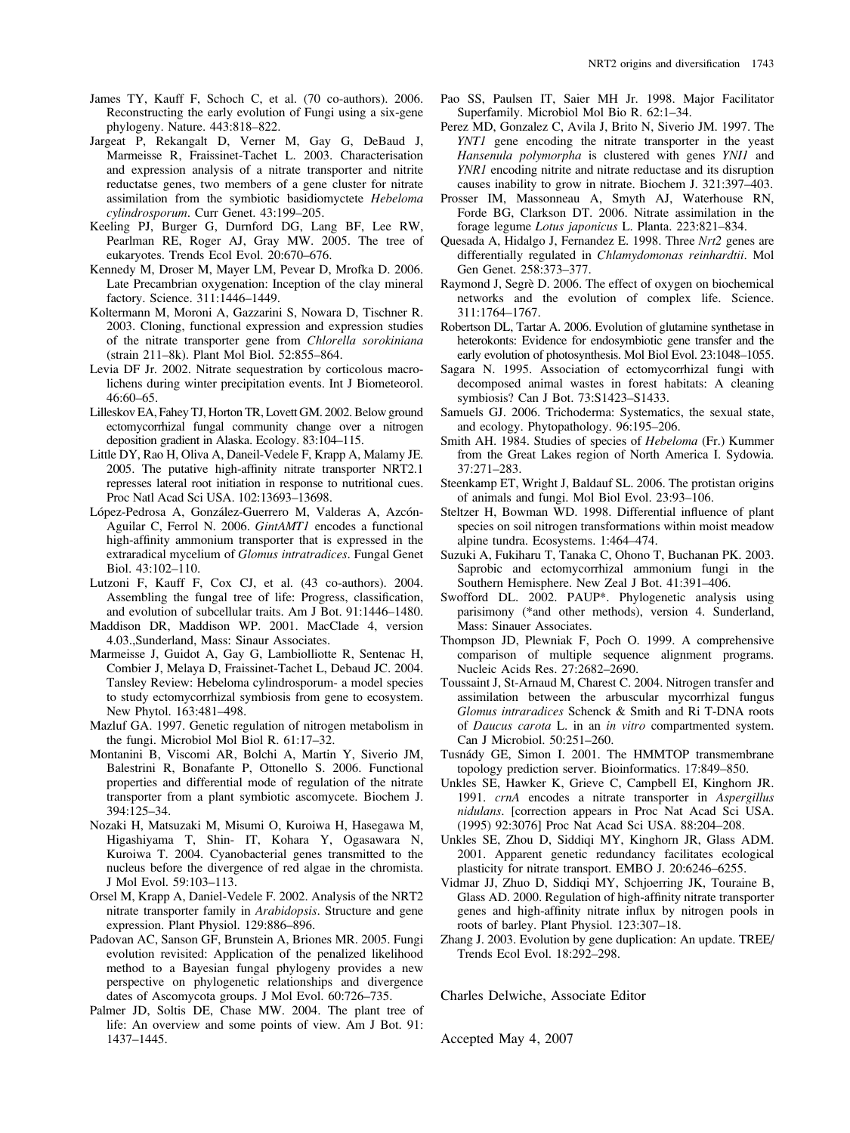- James TY, Kauff F, Schoch C, et al. (70 co-authors). 2006. Reconstructing the early evolution of Fungi using a six-gene phylogeny. Nature. 443:818–822.
- Jargeat P, Rekangalt D, Verner M, Gay G, DeBaud J, Marmeisse R, Fraissinet-Tachet L. 2003. Characterisation and expression analysis of a nitrate transporter and nitrite reductatse genes, two members of a gene cluster for nitrate assimilation from the symbiotic basidiomyctete Hebeloma cylindrosporum. Curr Genet. 43:199–205.
- Keeling PJ, Burger G, Durnford DG, Lang BF, Lee RW, Pearlman RE, Roger AJ, Gray MW. 2005. The tree of eukaryotes. Trends Ecol Evol. 20:670–676.
- Kennedy M, Droser M, Mayer LM, Pevear D, Mrofka D. 2006. Late Precambrian oxygenation: Inception of the clay mineral factory. Science. 311:1446–1449.
- Koltermann M, Moroni A, Gazzarini S, Nowara D, Tischner R. 2003. Cloning, functional expression and expression studies of the nitrate transporter gene from Chlorella sorokiniana (strain 211–8k). Plant Mol Biol. 52:855–864.
- Levia DF Jr. 2002. Nitrate sequestration by corticolous macrolichens during winter precipitation events. Int J Biometeorol. 46:60–65.
- Lilleskov EA, Fahey TJ, Horton TR, Lovett GM. 2002. Below ground ectomycorrhizal fungal community change over a nitrogen deposition gradient in Alaska. Ecology. 83:104–115.
- Little DY, Rao H, Oliva A, Daneil-Vedele F, Krapp A, Malamy JE. 2005. The putative high-affinity nitrate transporter NRT2.1 represses lateral root initiation in response to nutritional cues. Proc Natl Acad Sci USA. 102:13693–13698.
- López-Pedrosa A, González-Guerrero M, Valderas A, Azcón-Aguilar C, Ferrol N. 2006. GintAMT1 encodes a functional high-affinity ammonium transporter that is expressed in the extraradical mycelium of Glomus intratradices. Fungal Genet Biol. 43:102–110.
- Lutzoni F, Kauff F, Cox CJ, et al. (43 co-authors). 2004. Assembling the fungal tree of life: Progress, classification, and evolution of subcellular traits. Am J Bot. 91:1446–1480.
- Maddison DR, Maddison WP. 2001. MacClade 4, version 4.03.,Sunderland, Mass: Sinaur Associates.
- Marmeisse J, Guidot A, Gay G, Lambiolliotte R, Sentenac H, Combier J, Melaya D, Fraissinet-Tachet L, Debaud JC. 2004. Tansley Review: Hebeloma cylindrosporum- a model species to study ectomycorrhizal symbiosis from gene to ecosystem. New Phytol. 163:481–498.
- Mazluf GA. 1997. Genetic regulation of nitrogen metabolism in the fungi. Microbiol Mol Biol R. 61:17–32.
- Montanini B, Viscomi AR, Bolchi A, Martin Y, Siverio JM, Balestrini R, Bonafante P, Ottonello S. 2006. Functional properties and differential mode of regulation of the nitrate transporter from a plant symbiotic ascomycete. Biochem J. 394:125–34.
- Nozaki H, Matsuzaki M, Misumi O, Kuroiwa H, Hasegawa M, Higashiyama T, Shin- IT, Kohara Y, Ogasawara N, Kuroiwa T. 2004. Cyanobacterial genes transmitted to the nucleus before the divergence of red algae in the chromista. J Mol Evol. 59:103–113.
- Orsel M, Krapp A, Daniel-Vedele F. 2002. Analysis of the NRT2 nitrate transporter family in Arabidopsis. Structure and gene expression. Plant Physiol. 129:886–896.
- Padovan AC, Sanson GF, Brunstein A, Briones MR. 2005. Fungi evolution revisited: Application of the penalized likelihood method to a Bayesian fungal phylogeny provides a new perspective on phylogenetic relationships and divergence dates of Ascomycota groups. J Mol Evol. 60:726–735.
- Palmer JD, Soltis DE, Chase MW. 2004. The plant tree of life: An overview and some points of view. Am J Bot. 91: 1437–1445.
- Pao SS, Paulsen IT, Saier MH Jr. 1998. Major Facilitator Superfamily. Microbiol Mol Bio R. 62:1–34.
- Perez MD, Gonzalez C, Avila J, Brito N, Siverio JM. 1997. The YNT1 gene encoding the nitrate transporter in the yeast Hansenula polymorpha is clustered with genes YNI1 and YNR1 encoding nitrite and nitrate reductase and its disruption causes inability to grow in nitrate. Biochem J. 321:397–403.
- Prosser IM, Massonneau A, Smyth AJ, Waterhouse RN, Forde BG, Clarkson DT. 2006. Nitrate assimilation in the forage legume Lotus japonicus L. Planta. 223:821–834.
- Quesada A, Hidalgo J, Fernandez E. 1998. Three Nrt2 genes are differentially regulated in Chlamydomonas reinhardtii. Mol Gen Genet. 258:373–377.
- Raymond J, Segrè D. 2006. The effect of oxygen on biochemical networks and the evolution of complex life. Science. 311:1764–1767.
- Robertson DL, Tartar A. 2006. Evolution of glutamine synthetase in heterokonts: Evidence for endosymbiotic gene transfer and the early evolution of photosynthesis. Mol Biol Evol. 23:1048–1055.
- Sagara N. 1995. Association of ectomycorrhizal fungi with decomposed animal wastes in forest habitats: A cleaning symbiosis? Can J Bot. 73:S1423–S1433.
- Samuels GJ. 2006. Trichoderma: Systematics, the sexual state, and ecology. Phytopathology. 96:195–206.
- Smith AH. 1984. Studies of species of Hebeloma (Fr.) Kummer from the Great Lakes region of North America I. Sydowia. 37:271–283.
- Steenkamp ET, Wright J, Baldauf SL. 2006. The protistan origins of animals and fungi. Mol Biol Evol. 23:93–106.
- Steltzer H, Bowman WD. 1998. Differential influence of plant species on soil nitrogen transformations within moist meadow alpine tundra. Ecosystems. 1:464–474.
- Suzuki A, Fukiharu T, Tanaka C, Ohono T, Buchanan PK. 2003. Saprobic and ectomycorrhizal ammonium fungi in the Southern Hemisphere. New Zeal J Bot. 41:391–406.
- Swofford DL. 2002. PAUP\*. Phylogenetic analysis using parisimony (\*and other methods), version 4. Sunderland, Mass: Sinauer Associates.
- Thompson JD, Plewniak F, Poch O. 1999. A comprehensive comparison of multiple sequence alignment programs. Nucleic Acids Res. 27:2682–2690.
- Toussaint J, St-Arnaud M, Charest C. 2004. Nitrogen transfer and assimilation between the arbuscular mycorrhizal fungus Glomus intraradices Schenck & Smith and Ri T-DNA roots of Daucus carota L. in an in vitro compartmented system. Can J Microbiol. 50:251–260.
- Tusnády GE, Simon I. 2001. The HMMTOP transmembrane topology prediction server. Bioinformatics. 17:849–850.
- Unkles SE, Hawker K, Grieve C, Campbell EI, Kinghorn JR. 1991. crnA encodes a nitrate transporter in Aspergillus nidulans. [correction appears in Proc Nat Acad Sci USA. (1995) 92:3076] Proc Nat Acad Sci USA. 88:204–208.
- Unkles SE, Zhou D, Siddiqi MY, Kinghorn JR, Glass ADM. 2001. Apparent genetic redundancy facilitates ecological plasticity for nitrate transport. EMBO J. 20:6246–6255.
- Vidmar JJ, Zhuo D, Siddiqi MY, Schjoerring JK, Touraine B, Glass AD. 2000. Regulation of high-affinity nitrate transporter genes and high-affinity nitrate influx by nitrogen pools in roots of barley. Plant Physiol. 123:307–18.
- Zhang J. 2003. Evolution by gene duplication: An update. TREE/ Trends Ecol Evol. 18:292–298.

Charles Delwiche, Associate Editor

Accepted May 4, 2007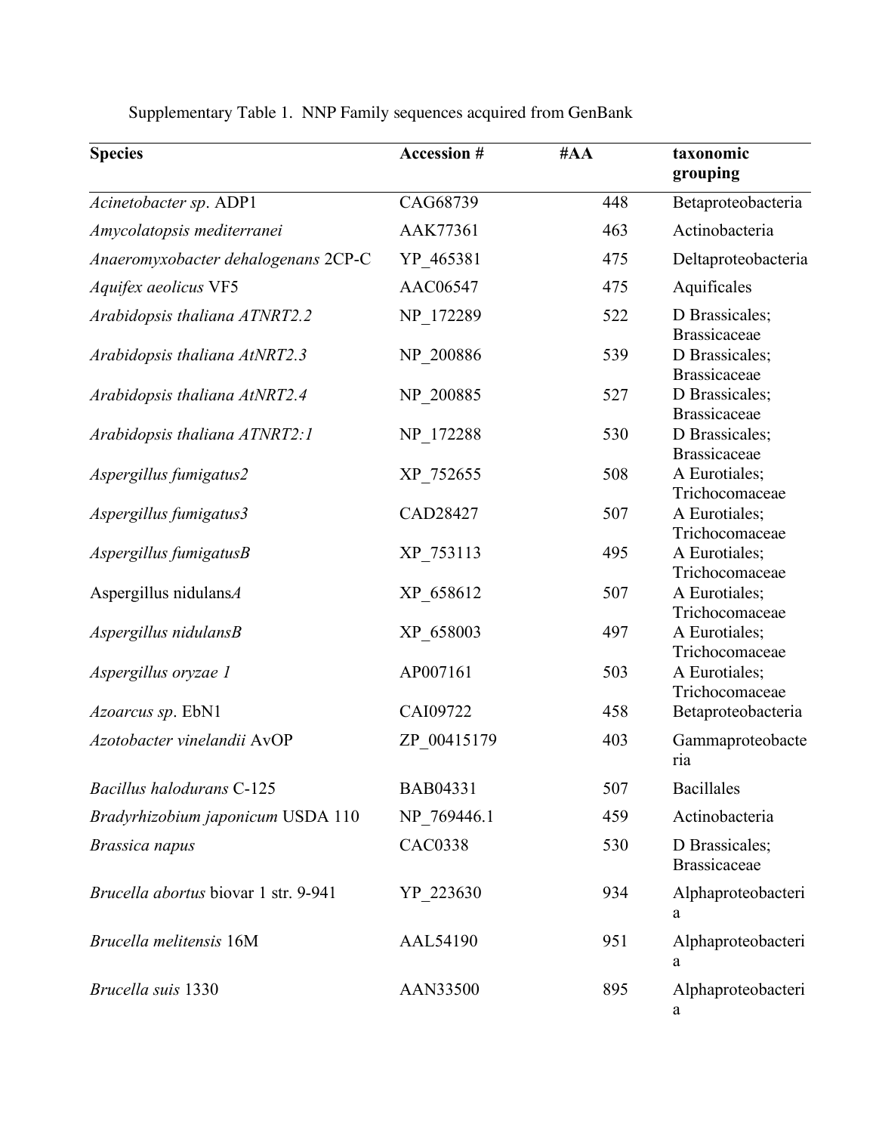| <b>Species</b>                       | <b>Accession #</b> | #AA | taxonomic<br>grouping                 |
|--------------------------------------|--------------------|-----|---------------------------------------|
| Acinetobacter sp. ADP1               | CAG68739           | 448 | Betaproteobacteria                    |
| Amycolatopsis mediterranei           | AAK77361           | 463 | Actinobacteria                        |
| Anaeromyxobacter dehalogenans 2CP-C  | YP 465381          | 475 | Deltaproteobacteria                   |
| Aquifex aeolicus VF5                 | AAC06547           | 475 | Aquificales                           |
| Arabidopsis thaliana ATNRT2.2        | NP 172289          | 522 | D Brassicales;<br><b>Brassicaceae</b> |
| Arabidopsis thaliana AtNRT2.3        | NP 200886          | 539 | D Brassicales;<br><b>Brassicaceae</b> |
| Arabidopsis thaliana AtNRT2.4        | NP 200885          | 527 | D Brassicales;<br><b>Brassicaceae</b> |
| Arabidopsis thaliana ATNRT2:1        | NP_172288          | 530 | D Brassicales;<br><b>Brassicaceae</b> |
| Aspergillus fumigatus2               | XP 752655          | 508 | A Eurotiales;<br>Trichocomaceae       |
| Aspergillus fumigatus3               | CAD28427           | 507 | A Eurotiales;<br>Trichocomaceae       |
| $A$ spergillus fumigatus $B$         | XP_753113          | 495 | A Eurotiales;<br>Trichocomaceae       |
| Aspergillus nidulansA                | XP_658612          | 507 | A Eurotiales;<br>Trichocomaceae       |
| Aspergillus nidulansB                | XP 658003          | 497 | A Eurotiales;<br>Trichocomaceae       |
| Aspergillus oryzae 1                 | AP007161           | 503 | A Eurotiales;<br>Trichocomaceae       |
| Azoarcus sp. EbN1                    | CAI09722           | 458 | Betaproteobacteria                    |
| Azotobacter vinelandii AvOP          | ZP 00415179        | 403 | Gammaproteobacte<br>ria               |
| <b>Bacillus halodurans C-125</b>     | BAB04331           | 507 | <b>Bacillales</b>                     |
| Bradyrhizobium japonicum USDA 110    | NP 769446.1        | 459 | Actinobacteria                        |
| Brassica napus                       | <b>CAC0338</b>     | 530 | D Brassicales;<br><b>Brassicaceae</b> |
| Brucella abortus biovar 1 str. 9-941 | YP 223630          | 934 | Alphaproteobacteri<br>a               |
| Brucella melitensis 16M              | <b>AAL54190</b>    | 951 | Alphaproteobacteri<br>a               |
| Brucella suis 1330                   | AAN33500           | 895 | Alphaproteobacteri<br>a               |

Supplementary Table 1. NNP Family sequences acquired from GenBank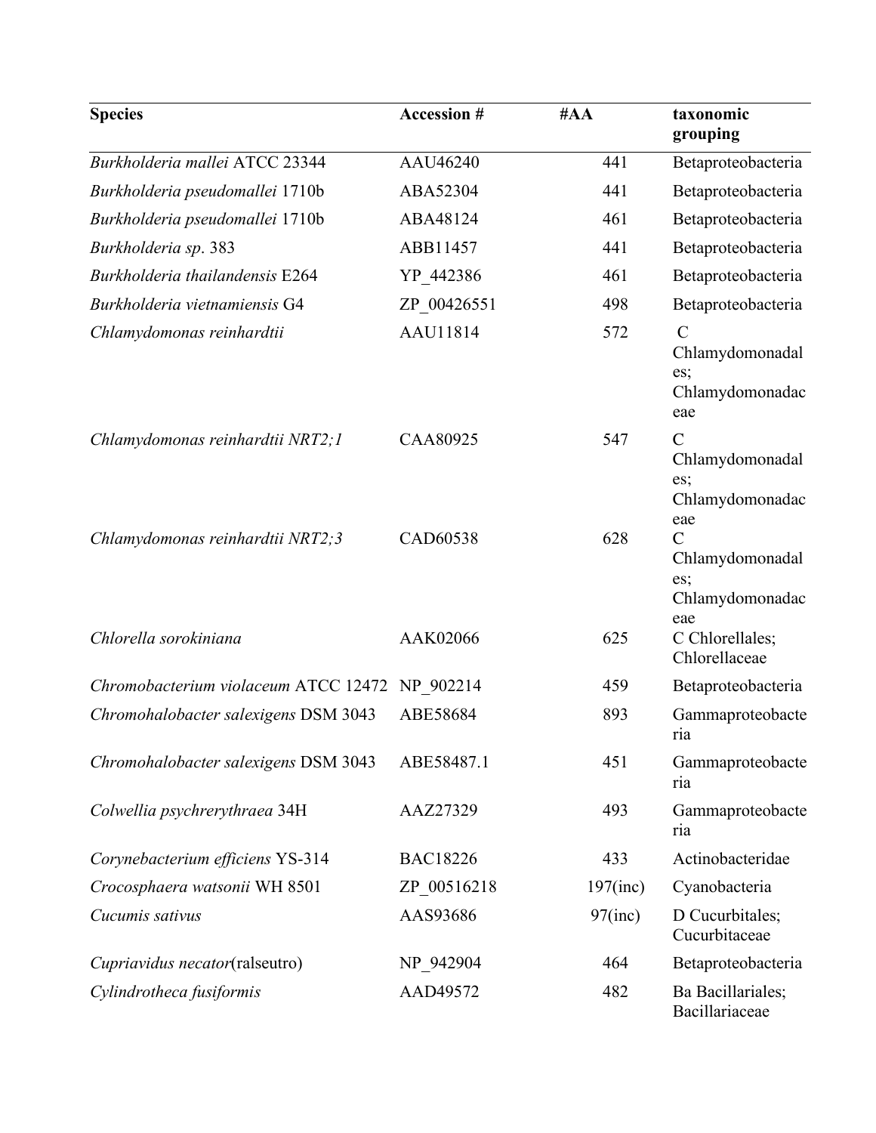| <b>Species</b>                                 | <b>Accession #</b> | #AA         | taxonomic<br>grouping                                                                 |
|------------------------------------------------|--------------------|-------------|---------------------------------------------------------------------------------------|
| Burkholderia mallei ATCC 23344                 | AAU46240           | 441         | Betaproteobacteria                                                                    |
| Burkholderia pseudomallei 1710b                | ABA52304           | 441         | Betaproteobacteria                                                                    |
| Burkholderia pseudomallei 1710b                | ABA48124           | 461         | Betaproteobacteria                                                                    |
| Burkholderia sp. 383                           | ABB11457           | 441         | Betaproteobacteria                                                                    |
| Burkholderia thailandensis E264                | YP 442386          | 461         | Betaproteobacteria                                                                    |
| Burkholderia vietnamiensis G4                  | ZP 00426551        | 498         | Betaproteobacteria                                                                    |
| Chlamydomonas reinhardtii                      | AAU11814           | 572         | $\mathcal{C}$<br>Chlamydomonadal<br>es;<br>Chlamydomonadac<br>eae                     |
| Chlamydomonas reinhardtii NRT2;1               | CAA80925           | 547         | $\mathcal{C}$<br>Chlamydomonadal<br>es;                                               |
| Chlamydomonas reinhardtii NRT2;3               | CAD60538           | 628         | Chlamydomonadac<br>eae<br>$\overline{C}$<br>Chlamydomonadal<br>es;<br>Chlamydomonadac |
| Chlorella sorokiniana                          | AAK02066           | 625         | eae<br>C Chlorellales;<br>Chlorellaceae                                               |
| Chromobacterium violaceum ATCC 12472 NP_902214 |                    | 459         | Betaproteobacteria                                                                    |
| Chromohalobacter salexigens DSM 3043           | ABE58684           | 893         | Gammaproteobacte<br>ria                                                               |
| Chromohalobacter salexigens DSM 3043           | ABE58487.1         | 451         | Gammaproteobacte<br>ria                                                               |
| Colwellia psychrerythraea 34H                  | AAZ27329           | 493         | Gammaproteobacte<br>ria                                                               |
| Corynebacterium efficiens YS-314               | <b>BAC18226</b>    | 433         | Actinobacteridae                                                                      |
| Crocosphaera watsonii WH 8501                  | ZP 00516218        | $197$ (inc) | Cyanobacteria                                                                         |
| Cucumis sativus                                | AAS93686           | $97$ (inc)  | D Cucurbitales;<br>Cucurbitaceae                                                      |
| Cupriavidus necator(ralseutro)                 | NP 942904          | 464         | Betaproteobacteria                                                                    |
| Cylindrotheca fusiformis                       | AAD49572           | 482         | Ba Bacillariales;<br>Bacillariaceae                                                   |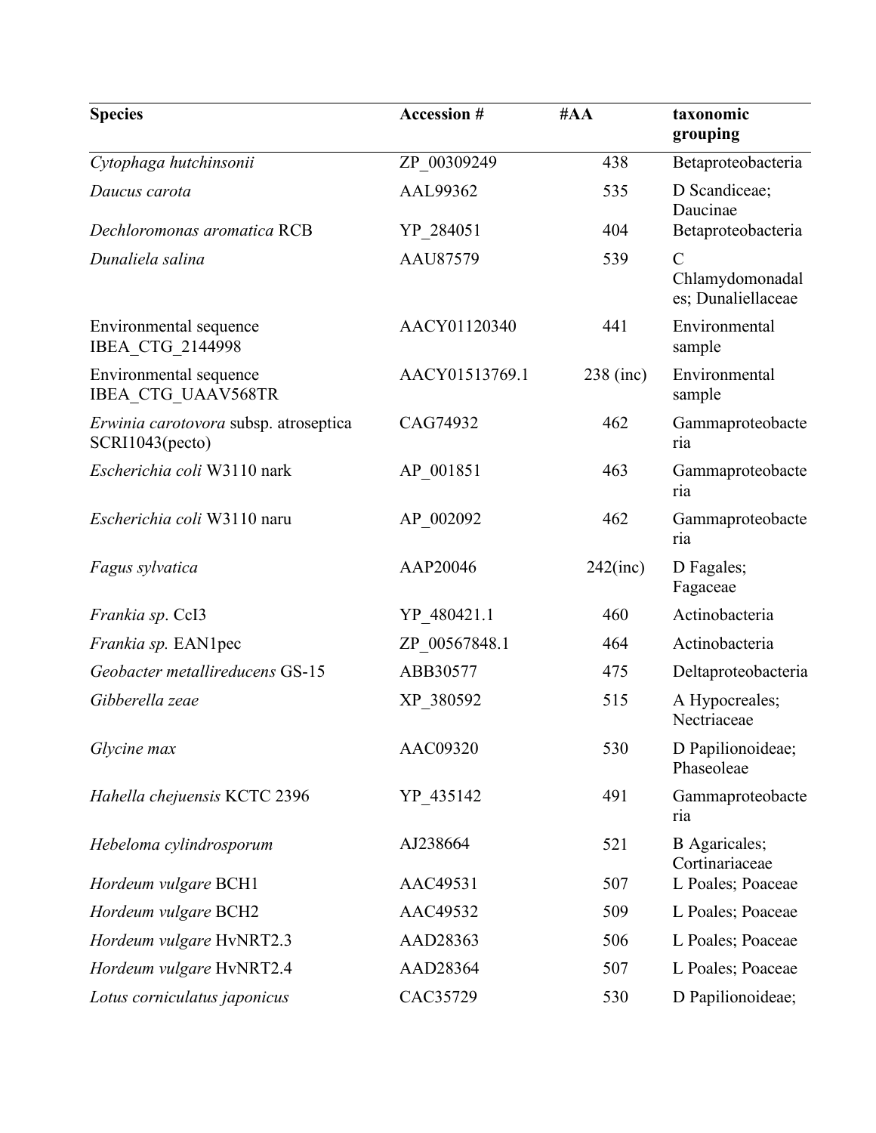| <b>Species</b>                                           | <b>Accession #</b> | #AA         | taxonomic<br>grouping                                  |
|----------------------------------------------------------|--------------------|-------------|--------------------------------------------------------|
| Cytophaga hutchinsonii                                   | ZP 00309249        | 438         | Betaproteobacteria                                     |
| Daucus carota                                            | AAL99362           | 535         | D Scandiceae;<br>Daucinae                              |
| Dechloromonas aromatica RCB                              | YP 284051          | 404         | Betaproteobacteria                                     |
| Dunaliela salina                                         | AAU87579           | 539         | $\mathcal{C}$<br>Chlamydomonadal<br>es; Dunaliellaceae |
| Environmental sequence<br>IBEA CTG 2144998               | AACY01120340       | 441         | Environmental<br>sample                                |
| Environmental sequence<br><b>IBEA CTG UAAV568TR</b>      | AACY01513769.1     | 238 (inc)   | Environmental<br>sample                                |
| Erwinia carotovora subsp. atroseptica<br>SCRI1043(pecto) | CAG74932           | 462         | Gammaproteobacte<br>ria                                |
| Escherichia coli W3110 nark                              | AP 001851          | 463         | Gammaproteobacte<br>ria                                |
| Escherichia coli W3110 naru                              | AP 002092          | 462         | Gammaproteobacte<br>ria                                |
| Fagus sylvatica                                          | AAP20046           | $242$ (inc) | D Fagales;<br>Fagaceae                                 |
| Frankia sp. CcI3                                         | YP 480421.1        | 460         | Actinobacteria                                         |
| Frankia sp. EAN1pec                                      | ZP_00567848.1      | 464         | Actinobacteria                                         |
| Geobacter metallireducens GS-15                          | ABB30577           | 475         | Deltaproteobacteria                                    |
| Gibberella zeae                                          | XP 380592          | 515         | A Hypocreales;<br>Nectriaceae                          |
| Glycine max                                              | AAC09320           | 530         | D Papilionoideae;<br>Phaseoleae                        |
| Hahella chejuensis KCTC 2396                             | YP_435142          | 491         | Gammaproteobacte<br>ria                                |
| Hebeloma cylindrosporum                                  | AJ238664           | 521         | <b>B</b> Agaricales;<br>Cortinariaceae                 |
| Hordeum vulgare BCH1                                     | AAC49531           | 507         | L Poales; Poaceae                                      |
| Hordeum vulgare BCH2                                     | AAC49532           | 509         | L Poales; Poaceae                                      |
| Hordeum vulgare HvNRT2.3                                 | AAD28363           | 506         | L Poales; Poaceae                                      |
| Hordeum vulgare HvNRT2.4                                 | AAD28364           | 507         | L Poales; Poaceae                                      |
| Lotus corniculatus japonicus                             | CAC35729           | 530         | D Papilionoideae;                                      |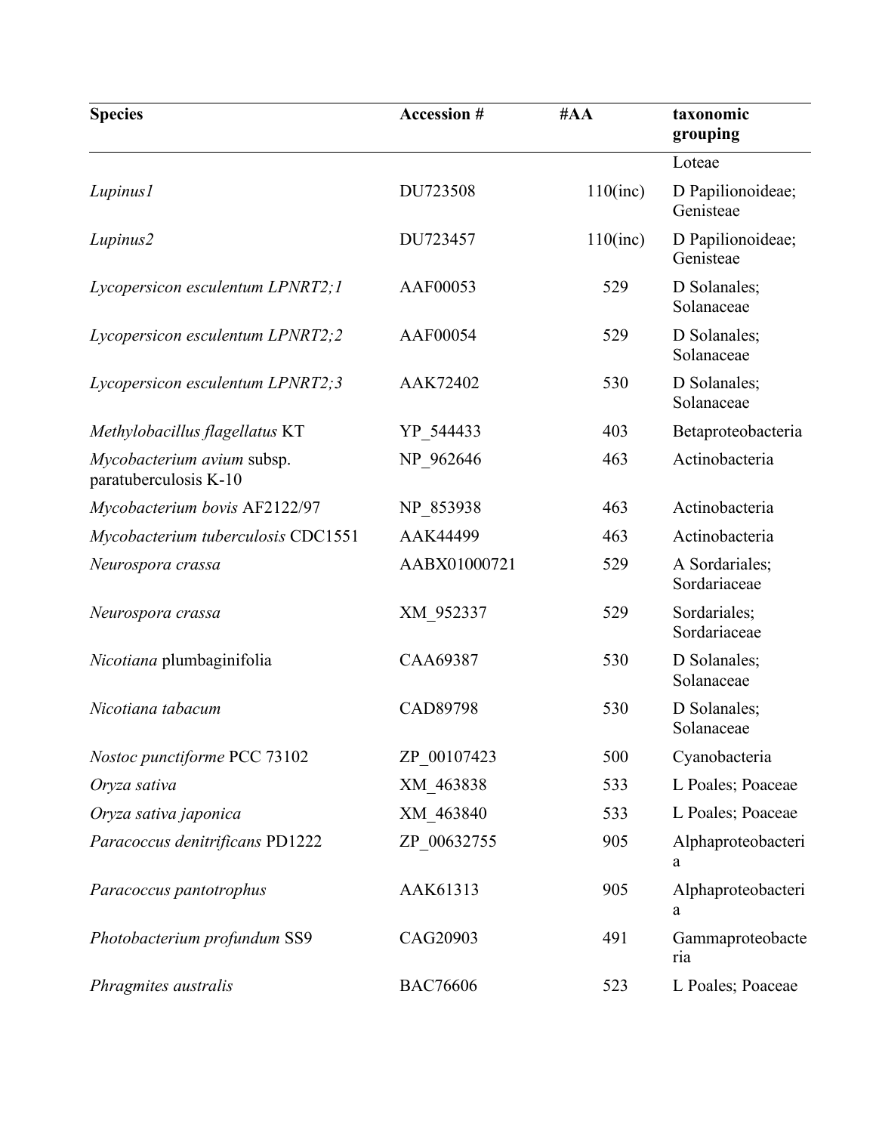| <b>Species</b>                                      | <b>Accession #</b> | #AA         | taxonomic<br>grouping          |
|-----------------------------------------------------|--------------------|-------------|--------------------------------|
|                                                     |                    |             | Loteae                         |
| Lupinus1                                            | DU723508           | $110$ (inc) | D Papilionoideae;<br>Genisteae |
| Lupinus2                                            | DU723457           | $110$ (inc) | D Papilionoideae;<br>Genisteae |
| Lycopersicon esculentum LPNRT2;1                    | AAF00053           | 529         | D Solanales;<br>Solanaceae     |
| Lycopersicon esculentum LPNRT2;2                    | AAF00054           | 529         | D Solanales;<br>Solanaceae     |
| Lycopersicon esculentum LPNRT2;3                    | AAK72402           | 530         | D Solanales;<br>Solanaceae     |
| Methylobacillus flagellatus KT                      | YP 544433          | 403         | Betaproteobacteria             |
| Mycobacterium avium subsp.<br>paratuberculosis K-10 | NP 962646          | 463         | Actinobacteria                 |
| Mycobacterium bovis AF2122/97                       | NP 853938          | 463         | Actinobacteria                 |
| Mycobacterium tuberculosis CDC1551                  | AAK44499           | 463         | Actinobacteria                 |
| Neurospora crassa                                   | AABX01000721       | 529         | A Sordariales;<br>Sordariaceae |
| Neurospora crassa                                   | XM 952337          | 529         | Sordariales;<br>Sordariaceae   |
| Nicotiana plumbaginifolia                           | CAA69387           | 530         | D Solanales;<br>Solanaceae     |
| Nicotiana tabacum                                   | CAD89798           | 530         | D Solanales;<br>Solanaceae     |
| Nostoc punctiforme PCC 73102                        | ZP 00107423        | 500         | Cyanobacteria                  |
| Oryza sativa                                        | XM 463838          | 533         | L Poales; Poaceae              |
| Oryza sativa japonica                               | XM 463840          | 533         | L Poales; Poaceae              |
| Paracoccus denitrificans PD1222                     | ZP 00632755        | 905         | Alphaproteobacteri<br>a        |
| Paracoccus pantotrophus                             | AAK61313           | 905         | Alphaproteobacteri<br>a        |
| Photobacterium profundum SS9                        | CAG20903           | 491         | Gammaproteobacte<br>ria        |
| Phragmites australis                                | <b>BAC76606</b>    | 523         | L Poales; Poaceae              |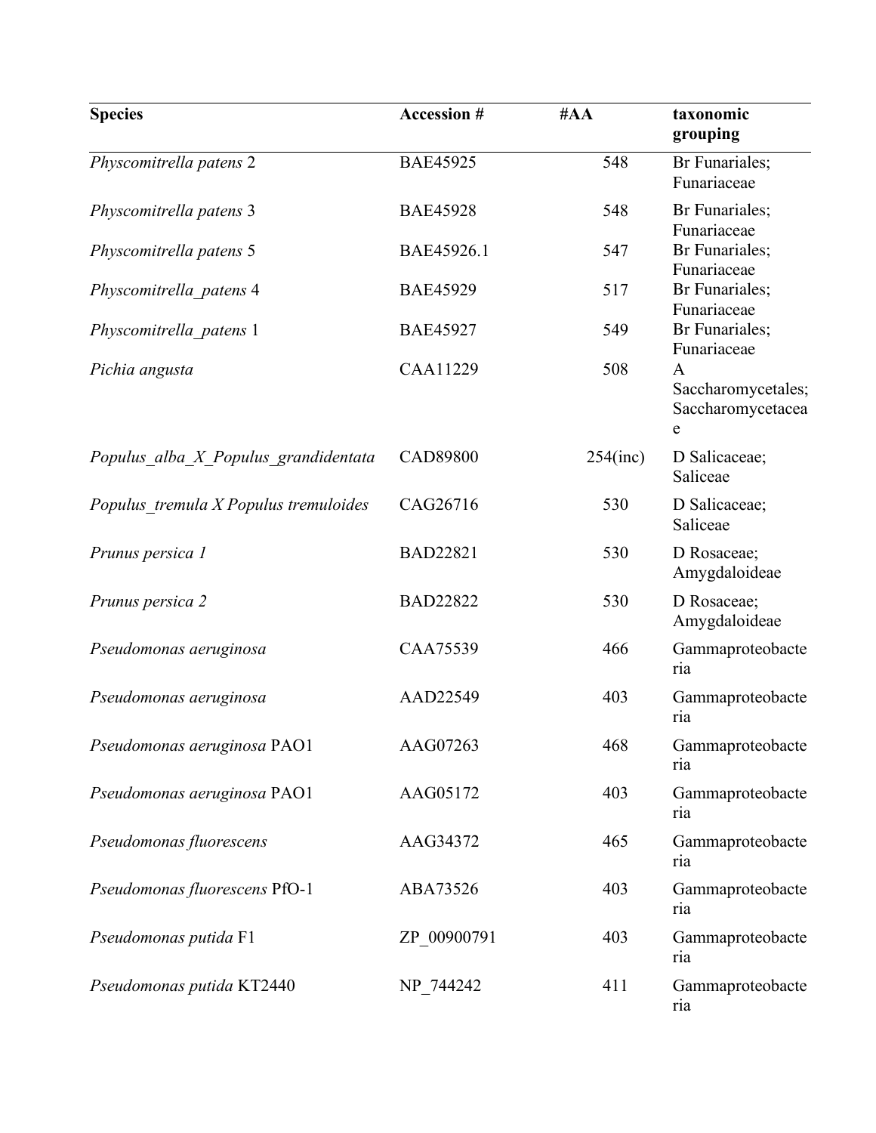| <b>Species</b>                        | <b>Accession #</b> | #AA         | taxonomic<br>grouping                             |
|---------------------------------------|--------------------|-------------|---------------------------------------------------|
| Physcomitrella patens 2               | <b>BAE45925</b>    | 548         | Br Funariales;<br>Funariaceae                     |
| Physcomitrella patens 3               | <b>BAE45928</b>    | 548         | Br Funariales;<br>Funariaceae                     |
| Physcomitrella patens 5               | BAE45926.1         | 547         | Br Funariales;<br>Funariaceae                     |
| Physcomitrella patens 4               | <b>BAE45929</b>    | 517         | Br Funariales;<br>Funariaceae                     |
| Physcomitrella patens 1               | <b>BAE45927</b>    | 549         | Br Funariales;<br>Funariaceae                     |
| Pichia angusta                        | CAA11229           | 508         | A<br>Saccharomycetales;<br>Saccharomycetacea<br>e |
| Populus alba X Populus grandidentata  | <b>CAD89800</b>    | $254$ (inc) | D Salicaceae;<br>Saliceae                         |
| Populus tremula X Populus tremuloides | CAG26716           | 530         | D Salicaceae;<br>Saliceae                         |
| Prunus persica 1                      | <b>BAD22821</b>    | 530         | D Rosaceae;<br>Amygdaloideae                      |
| Prunus persica 2                      | <b>BAD22822</b>    | 530         | D Rosaceae;<br>Amygdaloideae                      |
| Pseudomonas aeruginosa                | CAA75539           | 466         | Gammaproteobacte<br>ria                           |
| Pseudomonas aeruginosa                | AAD22549           | 403         | Gammaproteobacte<br>ria                           |
| Pseudomonas aeruginosa PAO1           | AAG07263           | 468         | Gammaproteobacte<br>ria                           |
| Pseudomonas aeruginosa PAO1           | AAG05172           | 403         | Gammaproteobacte<br>ria                           |
| Pseudomonas fluorescens               | AAG34372           | 465         | Gammaproteobacte<br>ria                           |
| Pseudomonas fluorescens PfO-1         | ABA73526           | 403         | Gammaproteobacte<br>ria                           |
| Pseudomonas putida F1                 | ZP 00900791        | 403         | Gammaproteobacte<br>ria                           |
| Pseudomonas putida KT2440             | NP 744242          | 411         | Gammaproteobacte<br>ria                           |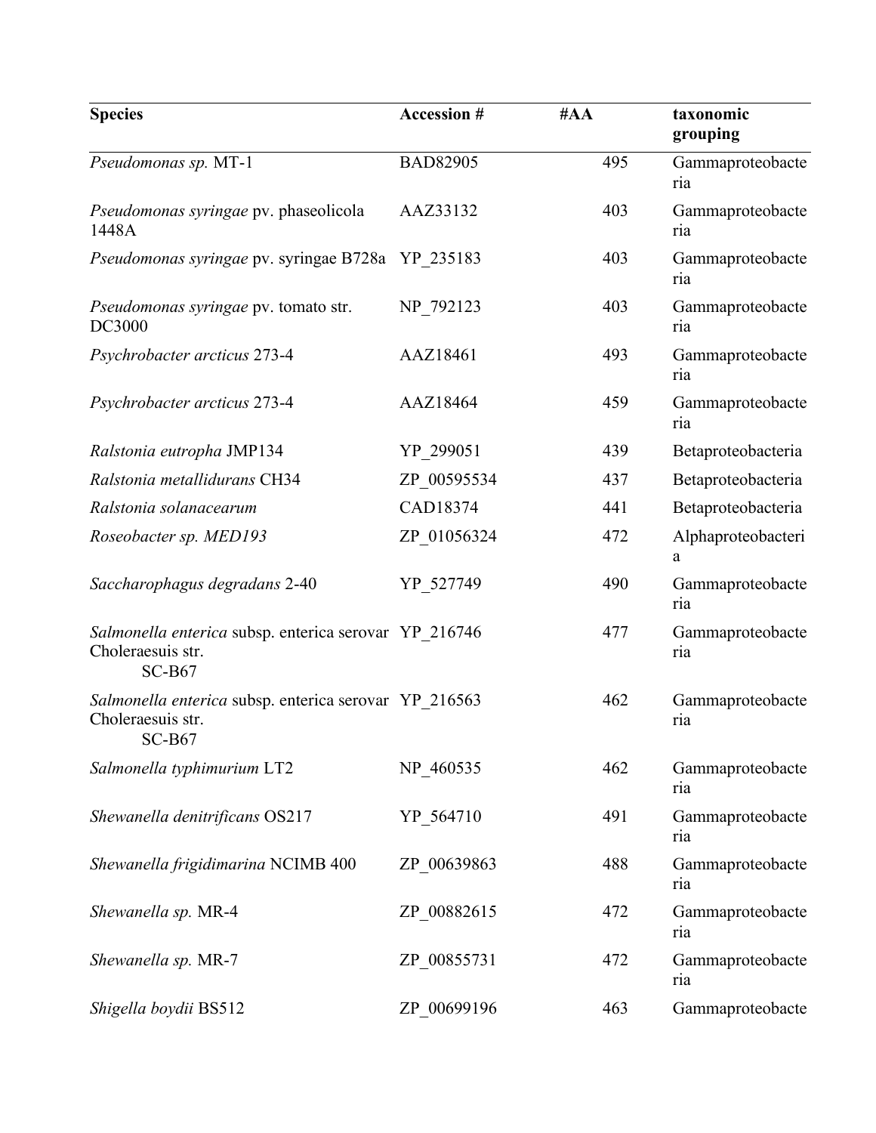| <b>Species</b>                                                                         | Accession #     | #AA | taxonomic<br>grouping   |
|----------------------------------------------------------------------------------------|-----------------|-----|-------------------------|
| Pseudomonas sp. MT-1                                                                   | <b>BAD82905</b> | 495 | Gammaproteobacte<br>ria |
| Pseudomonas syringae pv. phaseolicola<br>1448A                                         | AAZ33132        | 403 | Gammaproteobacte<br>ria |
| Pseudomonas syringae pv. syringae B728a YP 235183                                      |                 | 403 | Gammaproteobacte<br>ria |
| Pseudomonas syringae pv. tomato str.<br>DC3000                                         | NP 792123       | 403 | Gammaproteobacte<br>ria |
| Psychrobacter arcticus 273-4                                                           | AAZ18461        | 493 | Gammaproteobacte<br>ria |
| Psychrobacter arcticus 273-4                                                           | AAZ18464        | 459 | Gammaproteobacte<br>ria |
| Ralstonia eutropha JMP134                                                              | YP_299051       | 439 | Betaproteobacteria      |
| Ralstonia metallidurans CH34                                                           | ZP 00595534     | 437 | Betaproteobacteria      |
| Ralstonia solanacearum                                                                 | CAD18374        | 441 | Betaproteobacteria      |
| Roseobacter sp. MED193                                                                 | ZP 01056324     | 472 | Alphaproteobacteri<br>a |
| Saccharophagus degradans 2-40                                                          | YP 527749       | 490 | Gammaproteobacte<br>ria |
| Salmonella enterica subsp. enterica serovar YP 216746<br>Choleraesuis str.<br>$SC-B67$ |                 | 477 | Gammaproteobacte<br>ria |
| Salmonella enterica subsp. enterica serovar YP 216563<br>Choleraesuis str.<br>$SC-B67$ |                 | 462 | Gammaproteobacte<br>ria |
| Salmonella typhimurium LT2                                                             | NP 460535       | 462 | Gammaproteobacte<br>ria |
| Shewanella denitrificans OS217                                                         | YP 564710       | 491 | Gammaproteobacte<br>ria |
| Shewanella frigidimarina NCIMB 400                                                     | ZP 00639863     | 488 | Gammaproteobacte<br>ria |
| Shewanella sp. MR-4                                                                    | ZP 00882615     | 472 | Gammaproteobacte<br>ria |
| Shewanella sp. MR-7                                                                    | ZP 00855731     | 472 | Gammaproteobacte<br>ria |
| Shigella boydii BS512                                                                  | ZP 00699196     | 463 | Gammaproteobacte        |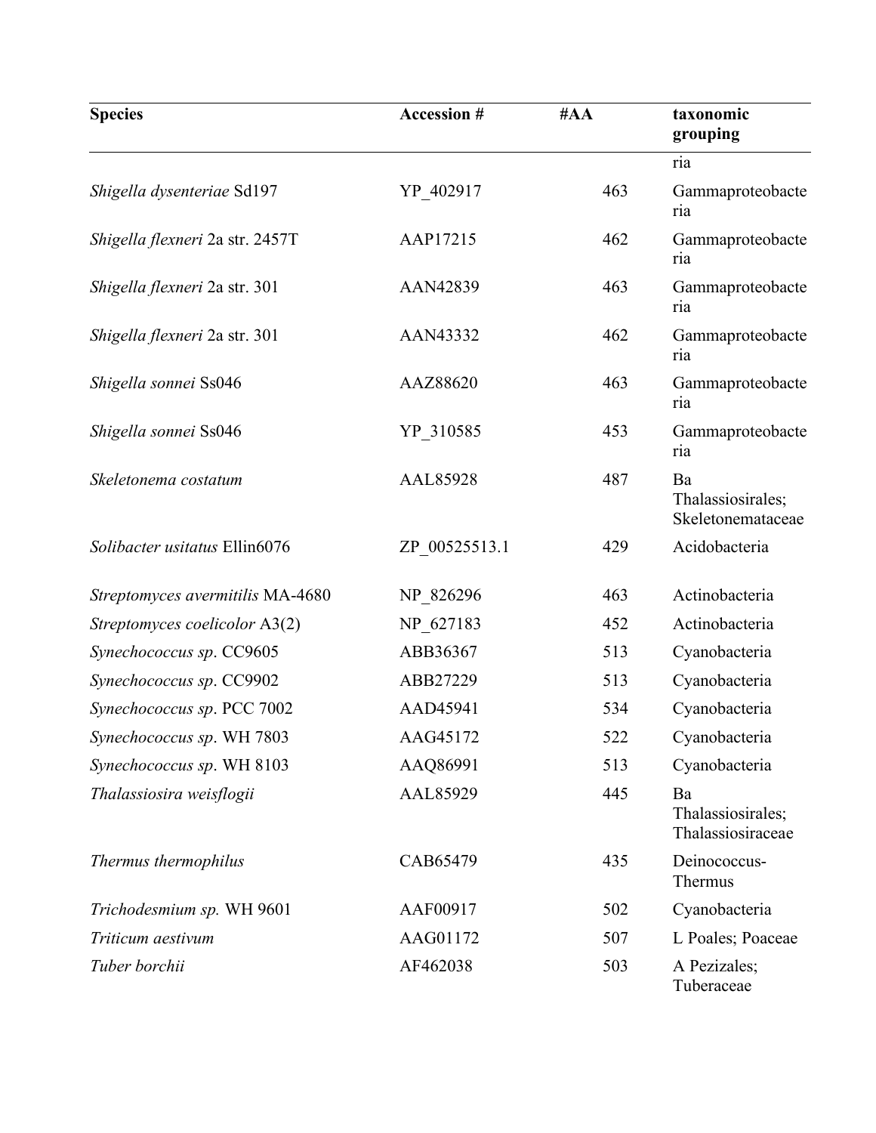| <b>Species</b>                   | Accession #   | #AA | taxonomic<br>grouping                        |
|----------------------------------|---------------|-----|----------------------------------------------|
|                                  |               |     | ria                                          |
| Shigella dysenteriae Sd197       | YP_402917     | 463 | Gammaproteobacte<br>ria                      |
| Shigella flexneri 2a str. 2457T  | AAP17215      | 462 | Gammaproteobacte<br>ria                      |
| Shigella flexneri 2a str. 301    | AAN42839      | 463 | Gammaproteobacte<br>ria                      |
| Shigella flexneri 2a str. 301    | AAN43332      | 462 | Gammaproteobacte<br>ria                      |
| Shigella sonnei Ss046            | AAZ88620      | 463 | Gammaproteobacte<br>ria                      |
| Shigella sonnei Ss046            | YP 310585     | 453 | Gammaproteobacte<br>ria                      |
| Skeletonema costatum             | AAL85928      | 487 | Ba<br>Thalassiosirales;<br>Skeletonemataceae |
| Solibacter usitatus Ellin6076    | ZP 00525513.1 | 429 | Acidobacteria                                |
| Streptomyces avermitilis MA-4680 | NP 826296     | 463 | Actinobacteria                               |
| Streptomyces coelicolor A3(2)    | NP_627183     | 452 | Actinobacteria                               |
| Synechococcus sp. CC9605         | ABB36367      | 513 | Cyanobacteria                                |
| Synechococcus sp. CC9902         | ABB27229      | 513 | Cyanobacteria                                |
| Synechococcus sp. PCC 7002       | AAD45941      | 534 | Cyanobacteria                                |
| Synechococcus sp. WH 7803        | AAG45172      | 522 | Cyanobacteria                                |
| Synechococcus sp. WH 8103        | AAQ86991      | 513 | Cyanobacteria                                |
| Thalassiosira weisflogii         | AAL85929      | 445 | Ba<br>Thalassiosirales;<br>Thalassiosiraceae |
| Thermus thermophilus             | CAB65479      | 435 | Deinococcus-<br>Thermus                      |
| Trichodesmium sp. WH 9601        | AAF00917      | 502 | Cyanobacteria                                |
| Triticum aestivum                | AAG01172      | 507 | L Poales; Poaceae                            |
| Tuber borchii                    | AF462038      | 503 | A Pezizales;<br>Tuberaceae                   |